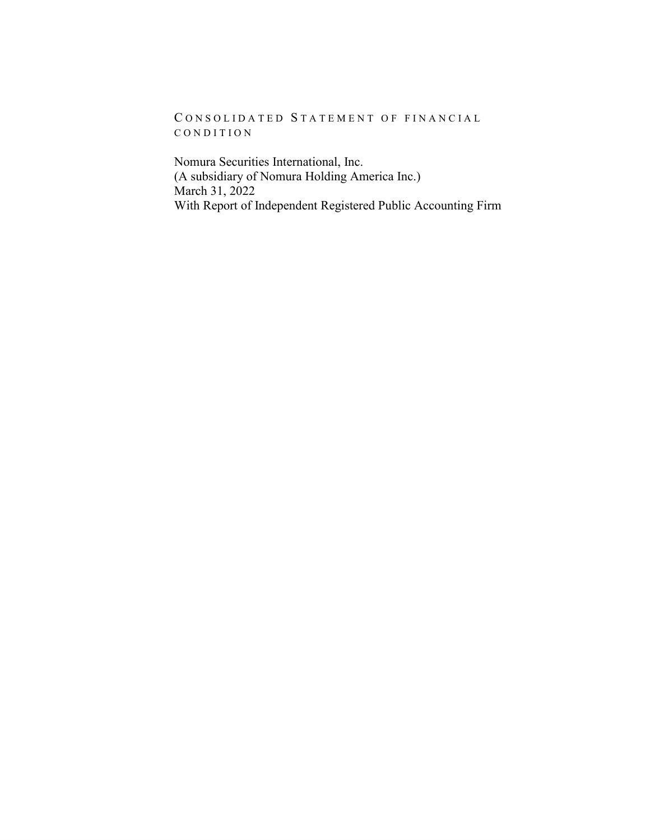CONSOLIDATED STATEMENT OF FINANCIAL CONDITION

Nomura Securities International, Inc. (A subsidiary of Nomura Holding America Inc.) March 31, 2022 With Report of Independent Registered Public Accounting Firm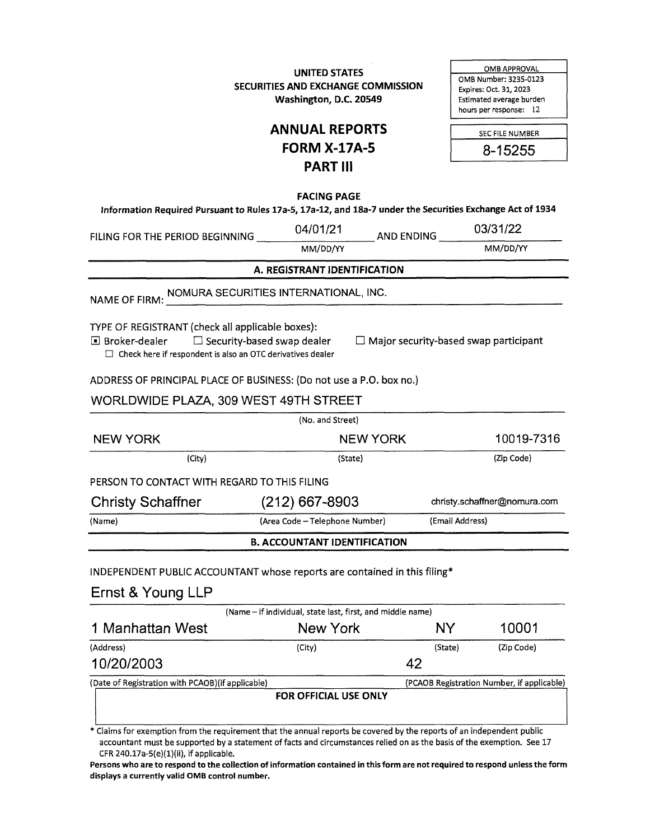**UNITED STATES SECURITIES AND EXCHANGE COMMISSION Washington, D.C. 20549** 

0MB APPROVAL 0MB Number: 3235-0123 Expires: Oct. 31, 2023 Estimated average burden hours per response: 12

| <b>ANNUAL REPORTS</b> |
|-----------------------|
| <b>FORM X-17A-5</b>   |
| <b>PART III</b>       |

| <b>SEC FILE NUMBER</b> |  |
|------------------------|--|
| 8-15255                |  |

**FACING PAGE** 

**Information Required Pursuant to Rules 17a-5, 17a-12, and 18a-7 under the Securities Exchange Act of 1934** 

| Information Required Pursuant to Rules 17a-5, 17a-12, and 18a-7 under the Securities Exchange Act of 1934                                                                        |                                                            |                                              |                 |                                            |
|----------------------------------------------------------------------------------------------------------------------------------------------------------------------------------|------------------------------------------------------------|----------------------------------------------|-----------------|--------------------------------------------|
| FILING FOR THE PERIOD BEGINNING                                                                                                                                                  | 04/01/21                                                   | AND ENDING                                   |                 | 03/31/22                                   |
|                                                                                                                                                                                  | MM/DD/YY                                                   |                                              |                 | MM/DD/YY                                   |
|                                                                                                                                                                                  | A. REGISTRANT IDENTIFICATION                               |                                              |                 |                                            |
| NAME OF FIRM: NOMURA SECURITIES INTERNATIONAL, INC.                                                                                                                              |                                                            |                                              |                 |                                            |
| TYPE OF REGISTRANT (check all applicable boxes):<br>■ Broker-dealer<br>$\square$ Security-based swap dealer<br>$\Box$ Check here if respondent is also an OTC derivatives dealer |                                                            | $\Box$ Major security-based swap participant |                 |                                            |
| ADDRESS OF PRINCIPAL PLACE OF BUSINESS: (Do not use a P.O. box no.)                                                                                                              |                                                            |                                              |                 |                                            |
| WORLDWIDE PLAZA, 309 WEST 49TH STREET                                                                                                                                            |                                                            |                                              |                 |                                            |
|                                                                                                                                                                                  | (No. and Street)                                           |                                              |                 |                                            |
| <b>NEW YORK</b>                                                                                                                                                                  | <b>NEW YORK</b>                                            |                                              | 10019-7316      |                                            |
| (City)                                                                                                                                                                           | (State)                                                    |                                              |                 | (Zip Code)                                 |
| PERSON TO CONTACT WITH REGARD TO THIS FILING                                                                                                                                     |                                                            |                                              |                 |                                            |
| <b>Christy Schaffner</b>                                                                                                                                                         | $(212)$ 667-8903                                           |                                              |                 | christy.schaffner@nomura.com               |
| (Name)                                                                                                                                                                           | (Area Code - Telephone Number)                             |                                              | (Email Address) |                                            |
|                                                                                                                                                                                  | <b>B. ACCOUNTANT IDENTIFICATION</b>                        |                                              |                 |                                            |
| INDEPENDENT PUBLIC ACCOUNTANT whose reports are contained in this filing*<br>Ernst & Young LLP                                                                                   |                                                            |                                              |                 |                                            |
|                                                                                                                                                                                  | (Name - if individual, state last, first, and middle name) |                                              |                 |                                            |
| 1 Manhattan West                                                                                                                                                                 | New York                                                   |                                              | NY.             | 10001                                      |
| (Address)                                                                                                                                                                        | (City)                                                     |                                              | (State)         | (Zip Code)                                 |
| 10/20/2003                                                                                                                                                                       |                                                            | 42                                           |                 |                                            |
| (Date of Registration with PCAOB) (if applicable)                                                                                                                                | FOR OFFICIAL USE ONLY                                      |                                              |                 | (PCAOB Registration Number, if applicable) |

\* Claims for exemption from the requirement that the annual reports be covered by the reports of an independent public accountant must be supported by a statement of facts and circumstances relied on as the basis of the exemption. See 17 CFR 240.17a-5(e) $(1)(ii)$ , if applicable.

**Persons who are to respond to the collection of information contained in this form are not required to respond unless the form displays a currently valid 0MB control number.**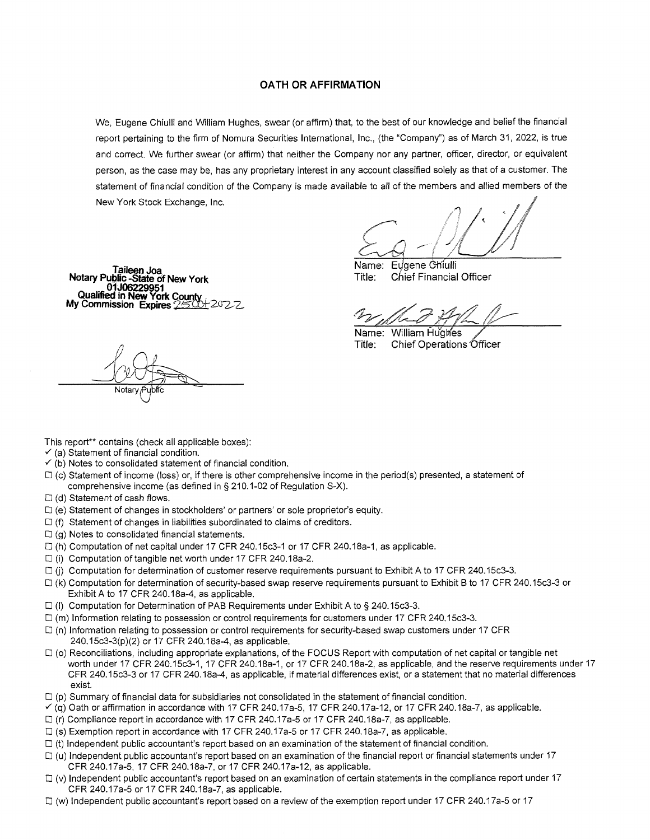#### **OATH OR AFFIRMATION**

We, Eugene Chiulli and William Hughes, swear (or affirm) that, to the best of our knowledge and belief the financial report pertaining to the firm of Nomura Securities International, Inc., (the "Company") as of March 31, 2022, is true and correct. We further swear (or affirm) that neither the Company nor any partner, officer, director, or equivalent person, as the case may be, has any proprietary interest in any account classified solely as that of a customer. The statement of financial condition of the Company is made available to all of the members and allied members of the New York Stock Exchange, Inc.

;'1

**01J06229951<br>Qualified in New York County<br>My Commission Expires 25 04 20 22** 

**TaileenJoa** Name: EJgene C%iulli **Notary Public -State of New York** Title: Chief Financial Officer

Name: William Hughes Title: Chief Operations Officer

Notan

This report\*\* contains (check all applicable boxes):

- $\checkmark$  (a) Statement of financial condition.
- $\checkmark$  (b) Notes to consolidated statement of financial condition.
- $\Box$  (c) Statement of income (loss) or, if there is other comprehensive income in the period(s) presented, a statement of comprehensive income (as defined in § 210.1-02 of Regulation S-X).
- $\Box$  (d) Statement of cash flows.
- $\square$  (e) Statement of changes in stockholders' or partners' or sole proprietor's equity.
- $\square$  (f) Statement of changes in liabilities subordinated to claims of creditors.
- $\Box$  (g) Notes to consolidated financial statements.
- $\Box$  (h) Computation of net capital under 17 CFR 240.15c3-1 or 17 CFR 240.18a-1, as applicable.
- D (i) Computation of tangible net worth under 17 CFR 240.1 Sa-2.
- $\Box$  (i) Computation for determination of customer reserve requirements pursuant to Exhibit A to 17 CFR 240.15c3-3.
- (k) Computation for determination of security-based swap reserve requirements pursuant to Exhibit B to 17 CFR 240.15c3-3 or Exhibit A to 17 CFR 240.18a-4, as applicable.
- (I) Computation for Determination of PAB Requirements under Exhibit A to§ 240.15c3-3.
- D (m) Information relating to possession or control requirements for customers under 17 CFR 240.15c3-3.
- $\Box$  (n) Information relating to possession or control requirements for security-based swap customers under 17 CFR 240.15c3-3(p)(2) or 17 CFR 240.18a-4, as applicable.
- $\Box$  (o) Reconciliations, including appropriate explanations, of the FOCUS Report with computation of net capital or tangible net worth under 17 CFR 240.15c3-1, 17 CFR 240.18a-1, or 17 CFR 240.18a-2, as applicable, and the reserve requirements under 17 CFR 240.15c3-3 or 17 CFR 240.1 Sa-4, as applicable, if material differences exist, or a statement that no material differences exist.
- $\Box$  (p) Summary of financial data for subsidiaries not consolidated in the statement of financial condition.
- $\check{q}$  (q) Oath or affirmation in accordance with 17 CFR 240.17a-5, 17 CFR 240.17a-12, or 17 CFR 240.18a-7, as applicable.
- (r) Compliance report in accordance with 17 CFR 240.17a-5 or 17 CFR 240.18a-7, as applicable.
- (s) Exemption report in accordance with 17 CFR 240.17a-5 or 17 CFR 240.18a-7, as applicable.
- $\Box$  (t) independent public accountant's report based on an examination of the statement of financial condition.
- $\Box$  (u) Independent public accountant's report based on an examination of the financial report or financial statements under 17 CFR 240.17a-5, 17 CFR 240.18a-7, or 17 CFR 240.17a-12, as applicable.
- $\Box$  (v) Independent public accountant's report based on an examination of certain statements in the compliance report under 17 CFR 240.17a-5 or 17 CFR 240.18a-7, as applicable.
- $\Box$  (w) Independent public accountant's report based on a review of the exemption report under 17 CFR 240.17a-5 or 17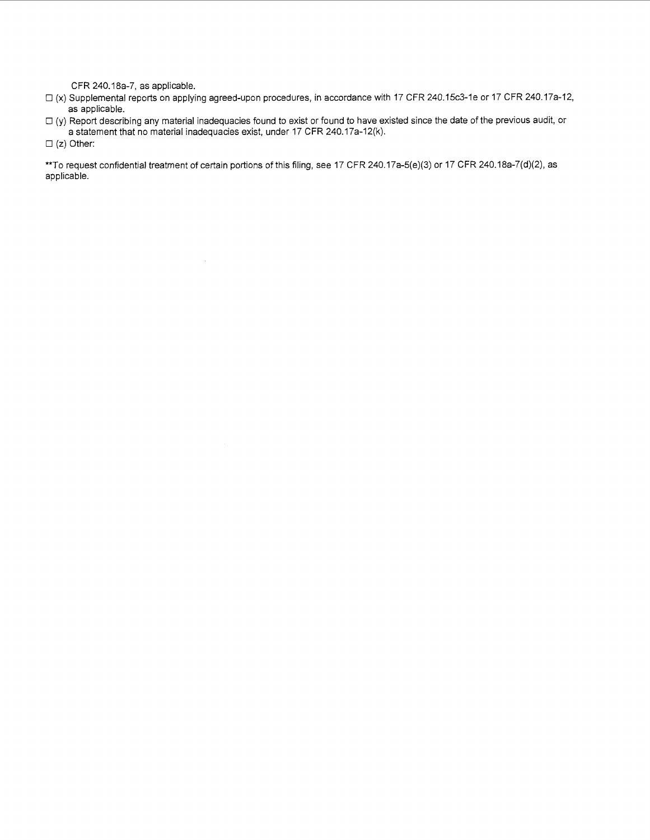CFR 240.18a-7, as applicable.

- (x) Supplemental reports on applying agreed-upon procedures, in accordance with 17 CFR 240.15c3-1e or 17 CFR 240.17a-12, as applicable.
- $\Box$  (y) Report describing any material inadequacies found to exist or found to have existed since the date of the previous audit, or a statement that no material inadequacies exist, under 17 CFR 240.17a-12(k).
- $\square$  (z) Other:

\*\*To request confidential treatment of certain portions of this filing, see 17 CFR 240.17a-5(e)(3) or 17 CFR 240.18a-7(d)(2), as applicable.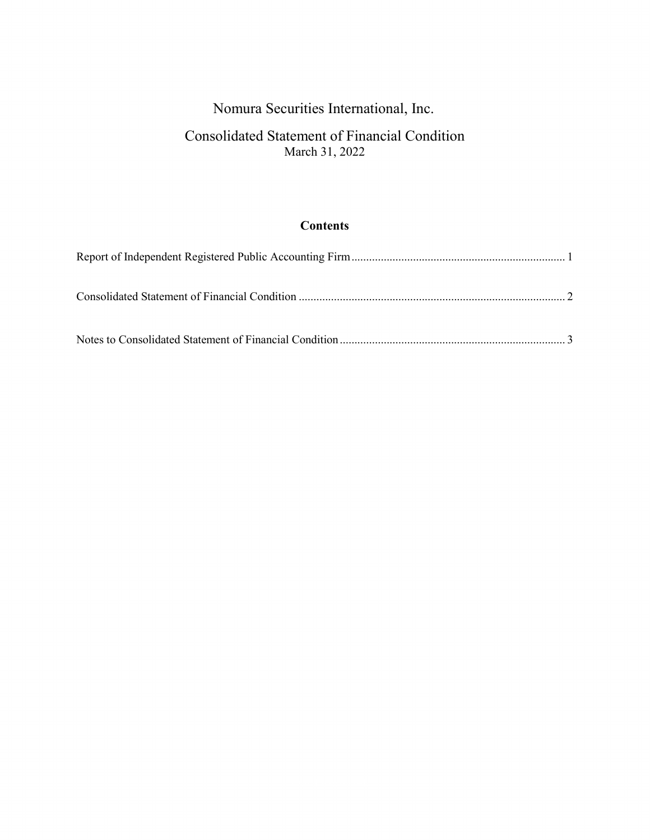# Nomura Securities International, Inc.

## Consolidated Statement of Financial Condition March 31, 2022

## **Contents**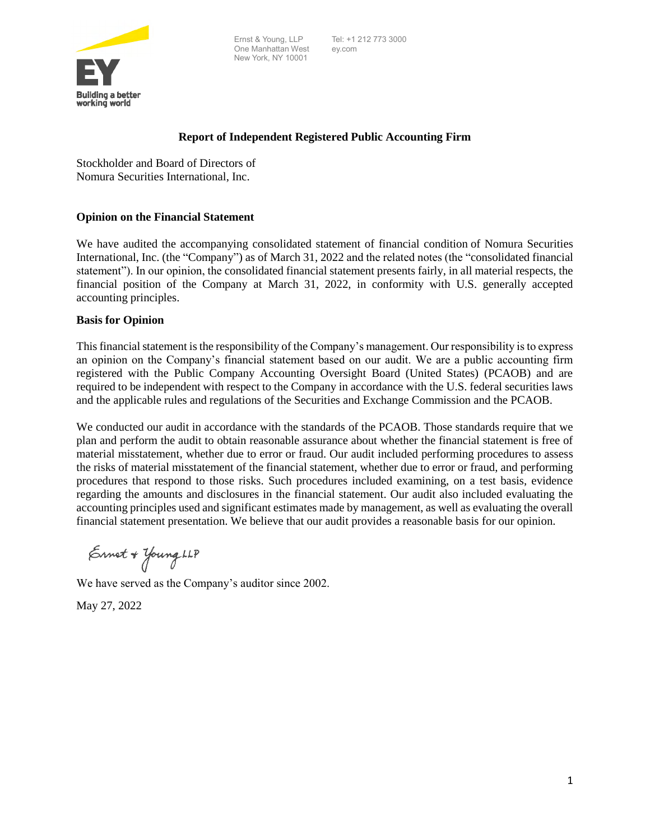

Tel: +1 212 773 3000 ey.com



### **Report of Independent Registered Public Accounting Firm**

Stockholder and Board of Directors of Nomura Securities International, Inc.

### **Opinion on the Financial Statement**

We have audited the accompanying consolidated statement of financial condition of Nomura Securities International, Inc. (the "Company") as of March 31, 2022 and the related notes (the "consolidated financial statement"). In our opinion, the consolidated financial statement presents fairly, in all material respects, the financial position of the Company at March 31, 2022, in conformity with U.S. generally accepted accounting principles.

#### **Basis for Opinion**

This financial statement is the responsibility of the Company's management. Our responsibility is to express an opinion on the Company's financial statement based on our audit. We are a public accounting firm registered with the Public Company Accounting Oversight Board (United States) (PCAOB) and are required to be independent with respect to the Company in accordance with the U.S. federal securities laws and the applicable rules and regulations of the Securities and Exchange Commission and the PCAOB.

We conducted our audit in accordance with the standards of the PCAOB. Those standards require that we plan and perform the audit to obtain reasonable assurance about whether the financial statement is free of material misstatement, whether due to error or fraud. Our audit included performing procedures to assess the risks of material misstatement of the financial statement, whether due to error or fraud, and performing procedures that respond to those risks. Such procedures included examining, on a test basis, evidence regarding the amounts and disclosures in the financial statement. Our audit also included evaluating the accounting principles used and significant estimates made by management, as well as evaluating the overall financial statement presentation. We believe that our audit provides a reasonable basis for our opinion.

 $\epsilon$ met + Young LLP

We have served as the Company's auditor since 2002.

May 27, 2022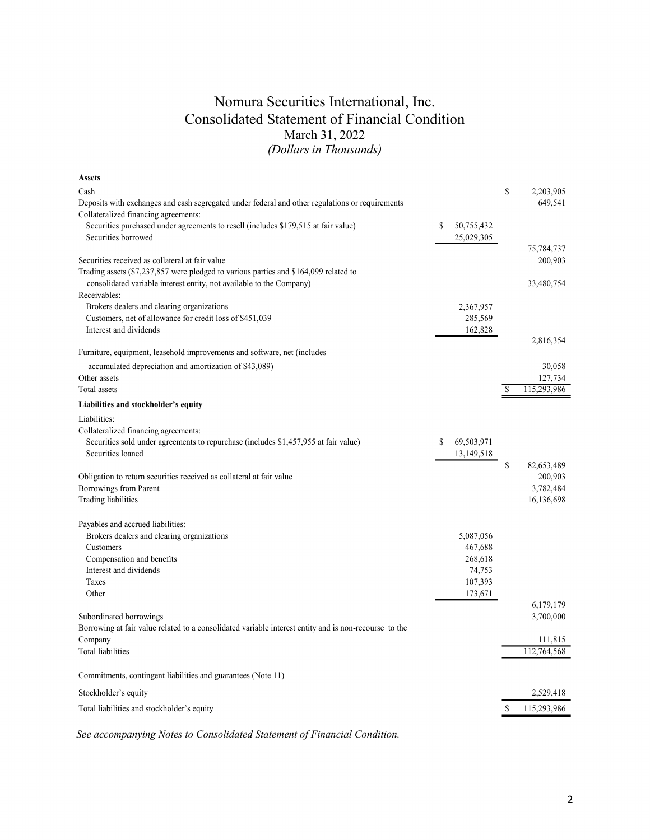## Nomura Securities International, Inc. Consolidated Statement of Financial Condition March 31, 2022 *(Dollars in Thousands)*

| <b>Assets</b>                                                                                         |                  |                   |
|-------------------------------------------------------------------------------------------------------|------------------|-------------------|
| Cash                                                                                                  |                  | \$<br>2,203,905   |
| Deposits with exchanges and cash segregated under federal and other regulations or requirements       |                  | 649,541           |
| Collateralized financing agreements:                                                                  |                  |                   |
| Securities purchased under agreements to resell (includes \$179,515 at fair value)                    | \$<br>50,755,432 |                   |
| Securities borrowed                                                                                   | 25,029,305       |                   |
|                                                                                                       |                  | 75,784,737        |
| Securities received as collateral at fair value                                                       |                  | 200,903           |
| Trading assets (\$7,237,857 were pledged to various parties and \$164,099 related to                  |                  |                   |
| consolidated variable interest entity, not available to the Company)                                  |                  | 33,480,754        |
| Receivables:                                                                                          |                  |                   |
| Brokers dealers and clearing organizations                                                            | 2,367,957        |                   |
| Customers, net of allowance for credit loss of \$451,039                                              | 285,569          |                   |
| Interest and dividends                                                                                | 162,828          |                   |
|                                                                                                       |                  | 2,816,354         |
| Furniture, equipment, leasehold improvements and software, net (includes                              |                  |                   |
| accumulated depreciation and amortization of \$43,089)                                                |                  | 30,058            |
| Other assets                                                                                          |                  | 127,734           |
| Total assets                                                                                          |                  | \$<br>115,293,986 |
|                                                                                                       |                  |                   |
| Liabilities and stockholder's equity                                                                  |                  |                   |
| Liabilities:                                                                                          |                  |                   |
| Collateralized financing agreements:                                                                  |                  |                   |
| Securities sold under agreements to repurchase (includes \$1,457,955 at fair value)                   | \$<br>69,503,971 |                   |
| Securities loaned                                                                                     | 13,149,518       |                   |
|                                                                                                       |                  | \$<br>82,653,489  |
| Obligation to return securities received as collateral at fair value                                  |                  | 200,903           |
| Borrowings from Parent                                                                                |                  | 3,782,484         |
| Trading liabilities                                                                                   |                  | 16,136,698        |
|                                                                                                       |                  |                   |
| Payables and accrued liabilities:                                                                     |                  |                   |
| Brokers dealers and clearing organizations                                                            | 5,087,056        |                   |
| Customers                                                                                             | 467,688          |                   |
| Compensation and benefits                                                                             | 268,618          |                   |
| Interest and dividends                                                                                | 74,753           |                   |
| Taxes                                                                                                 | 107,393          |                   |
| Other                                                                                                 | 173,671          |                   |
|                                                                                                       |                  | 6,179,179         |
| Subordinated borrowings                                                                               |                  | 3,700,000         |
| Borrowing at fair value related to a consolidated variable interest entity and is non-recourse to the |                  |                   |
| Company                                                                                               |                  | 111,815           |
| <b>Total liabilities</b>                                                                              |                  | 112,764,568       |
|                                                                                                       |                  |                   |
| Commitments, contingent liabilities and guarantees (Note 11)                                          |                  |                   |
|                                                                                                       |                  |                   |
| Stockholder's equity                                                                                  |                  | 2,529,418         |
| Total liabilities and stockholder's equity                                                            |                  | \$<br>115,293,986 |
|                                                                                                       |                  |                   |

*See accompanying Notes to Consolidated Statement of Financial Condition.*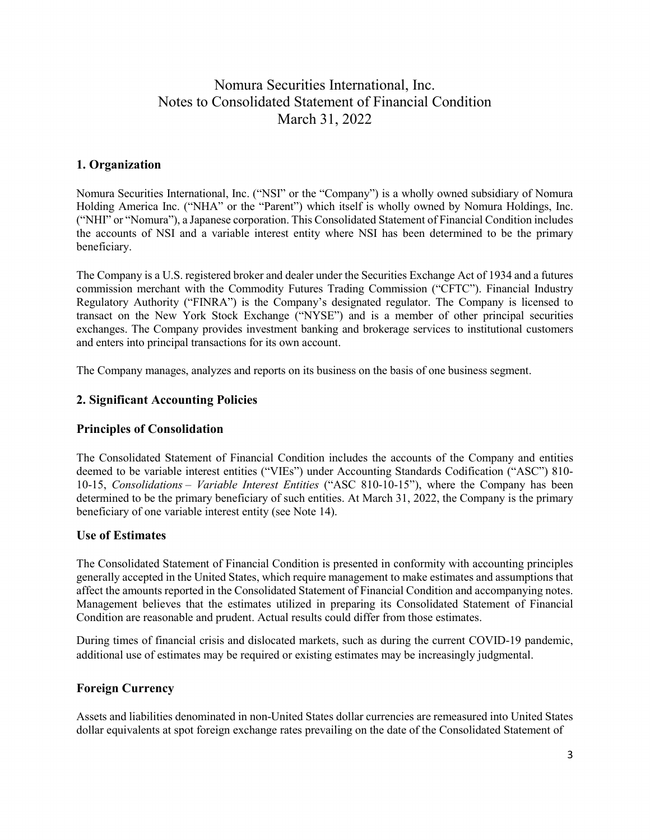### **1. Organization**

Nomura Securities International, Inc. ("NSI" or the "Company") is a wholly owned subsidiary of Nomura Holding America Inc. ("NHA" or the "Parent") which itself is wholly owned by Nomura Holdings, Inc. ("NHI" or "Nomura"), a Japanese corporation. This Consolidated Statement of Financial Condition includes the accounts of NSI and a variable interest entity where NSI has been determined to be the primary beneficiary.

The Company is a U.S. registered broker and dealer under the Securities Exchange Act of 1934 and a futures commission merchant with the Commodity Futures Trading Commission ("CFTC"). Financial Industry Regulatory Authority ("FINRA") is the Company's designated regulator. The Company is licensed to transact on the New York Stock Exchange ("NYSE") and is a member of other principal securities exchanges. The Company provides investment banking and brokerage services to institutional customers and enters into principal transactions for its own account.

The Company manages, analyzes and reports on its business on the basis of one business segment.

### **2. Significant Accounting Policies**

### **Principles of Consolidation**

The Consolidated Statement of Financial Condition includes the accounts of the Company and entities deemed to be variable interest entities ("VIEs") under Accounting Standards Codification ("ASC") 810- 10-15, *Consolidations – Variable Interest Entities* ("ASC 810-10-15"), where the Company has been determined to be the primary beneficiary of such entities. At March 31, 2022, the Company is the primary beneficiary of one variable interest entity (see Note 14).

#### **Use of Estimates**

The Consolidated Statement of Financial Condition is presented in conformity with accounting principles generally accepted in the United States, which require management to make estimates and assumptions that affect the amounts reported in the Consolidated Statement of Financial Condition and accompanying notes. Management believes that the estimates utilized in preparing its Consolidated Statement of Financial Condition are reasonable and prudent. Actual results could differ from those estimates.

During times of financial crisis and dislocated markets, such as during the current COVID-19 pandemic, additional use of estimates may be required or existing estimates may be increasingly judgmental.

### **Foreign Currency**

Assets and liabilities denominated in non-United States dollar currencies are remeasured into United States dollar equivalents at spot foreign exchange rates prevailing on the date of the Consolidated Statement of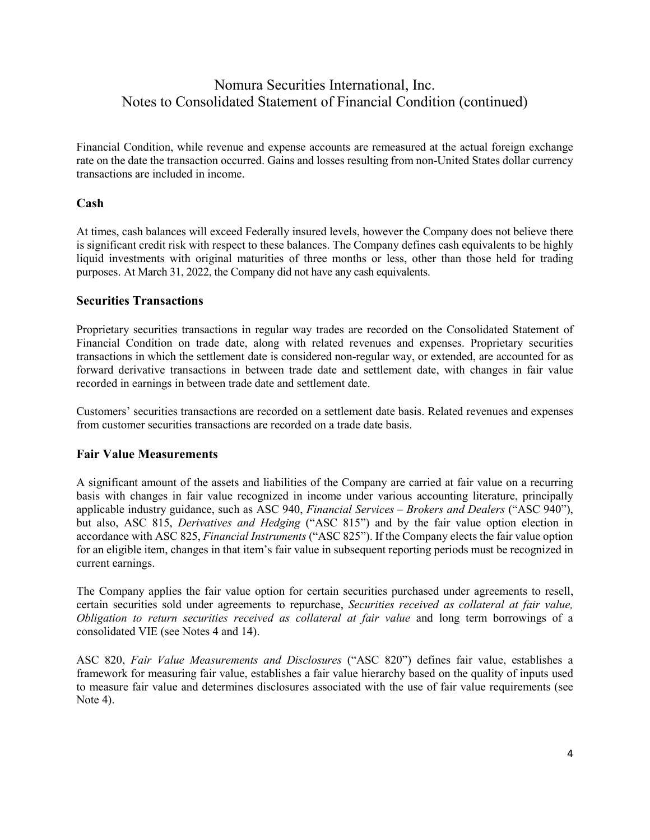Financial Condition, while revenue and expense accounts are remeasured at the actual foreign exchange rate on the date the transaction occurred. Gains and losses resulting from non-United States dollar currency transactions are included in income.

### **Cash**

At times, cash balances will exceed Federally insured levels, however the Company does not believe there is significant credit risk with respect to these balances. The Company defines cash equivalents to be highly liquid investments with original maturities of three months or less, other than those held for trading purposes. At March 31, 2022, the Company did not have any cash equivalents.

#### **Securities Transactions**

Proprietary securities transactions in regular way trades are recorded on the Consolidated Statement of Financial Condition on trade date, along with related revenues and expenses. Proprietary securities transactions in which the settlement date is considered non-regular way, or extended, are accounted for as forward derivative transactions in between trade date and settlement date, with changes in fair value recorded in earnings in between trade date and settlement date.

Customers' securities transactions are recorded on a settlement date basis. Related revenues and expenses from customer securities transactions are recorded on a trade date basis.

#### **Fair Value Measurements**

A significant amount of the assets and liabilities of the Company are carried at fair value on a recurring basis with changes in fair value recognized in income under various accounting literature, principally applicable industry guidance, such as ASC 940, *Financial Services – Brokers and Dealers* ("ASC 940"), but also, ASC 815, *Derivatives and Hedging* ("ASC 815") and by the fair value option election in accordance with ASC 825, *Financial Instruments* ("ASC 825"). If the Company elects the fair value option for an eligible item, changes in that item's fair value in subsequent reporting periods must be recognized in current earnings.

The Company applies the fair value option for certain securities purchased under agreements to resell, certain securities sold under agreements to repurchase, *Securities received as collateral at fair value, Obligation to return securities received as collateral at fair value* and long term borrowings of a consolidated VIE (see Notes 4 and 14).

ASC 820, *Fair Value Measurements and Disclosures* ("ASC 820") defines fair value, establishes a framework for measuring fair value, establishes a fair value hierarchy based on the quality of inputs used to measure fair value and determines disclosures associated with the use of fair value requirements (see Note 4).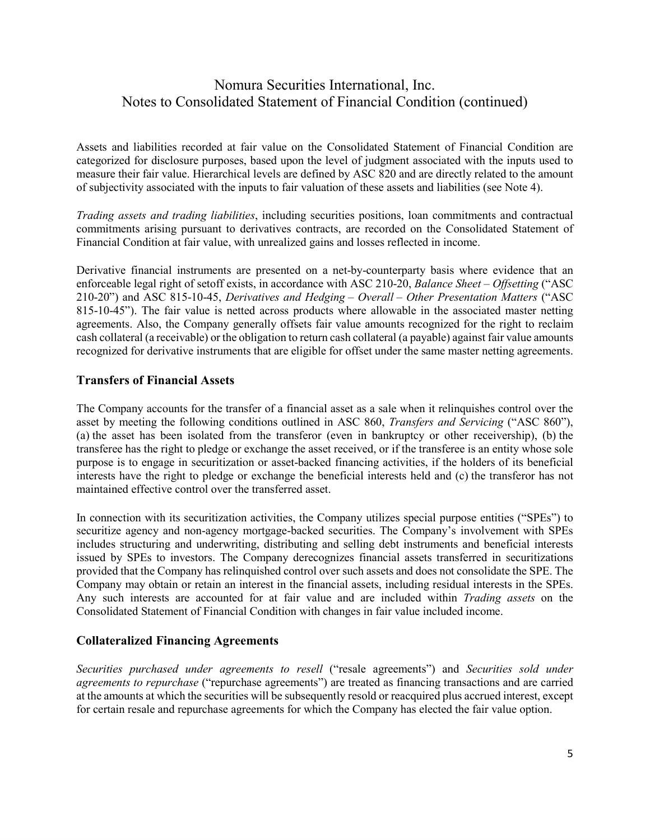Assets and liabilities recorded at fair value on the Consolidated Statement of Financial Condition are categorized for disclosure purposes, based upon the level of judgment associated with the inputs used to measure their fair value. Hierarchical levels are defined by ASC 820 and are directly related to the amount of subjectivity associated with the inputs to fair valuation of these assets and liabilities (see Note 4).

*Trading assets and trading liabilities*, including securities positions, loan commitments and contractual commitments arising pursuant to derivatives contracts, are recorded on the Consolidated Statement of Financial Condition at fair value, with unrealized gains and losses reflected in income.

Derivative financial instruments are presented on a net-by-counterparty basis where evidence that an enforceable legal right of setoff exists, in accordance with ASC 210-20, *Balance Sheet* – *Offsetting* ("ASC 210-20") and ASC 815-10-45, *Derivatives and Hedging – Overall – Other Presentation Matters* ("ASC 815-10-45"). The fair value is netted across products where allowable in the associated master netting agreements. Also, the Company generally offsets fair value amounts recognized for the right to reclaim cash collateral (a receivable) or the obligation to return cash collateral (a payable) against fair value amounts recognized for derivative instruments that are eligible for offset under the same master netting agreements.

### **Transfers of Financial Assets**

The Company accounts for the transfer of a financial asset as a sale when it relinquishes control over the asset by meeting the following conditions outlined in ASC 860, *Transfers and Servicing* ("ASC 860"), (a) the asset has been isolated from the transferor (even in bankruptcy or other receivership), (b) the transferee has the right to pledge or exchange the asset received, or if the transferee is an entity whose sole purpose is to engage in securitization or asset-backed financing activities, if the holders of its beneficial interests have the right to pledge or exchange the beneficial interests held and (c) the transferor has not maintained effective control over the transferred asset.

In connection with its securitization activities, the Company utilizes special purpose entities ("SPEs") to securitize agency and non-agency mortgage-backed securities. The Company's involvement with SPEs includes structuring and underwriting, distributing and selling debt instruments and beneficial interests issued by SPEs to investors. The Company derecognizes financial assets transferred in securitizations provided that the Company has relinquished control over such assets and does not consolidate the SPE. The Company may obtain or retain an interest in the financial assets, including residual interests in the SPEs. Any such interests are accounted for at fair value and are included within *Trading assets* on the Consolidated Statement of Financial Condition with changes in fair value included income.

### **Collateralized Financing Agreements**

*Securities purchased under agreements to resell* ("resale agreements") and *Securities sold under agreements to repurchase* ("repurchase agreements") are treated as financing transactions and are carried at the amounts at which the securities will be subsequently resold or reacquired plus accrued interest, except for certain resale and repurchase agreements for which the Company has elected the fair value option.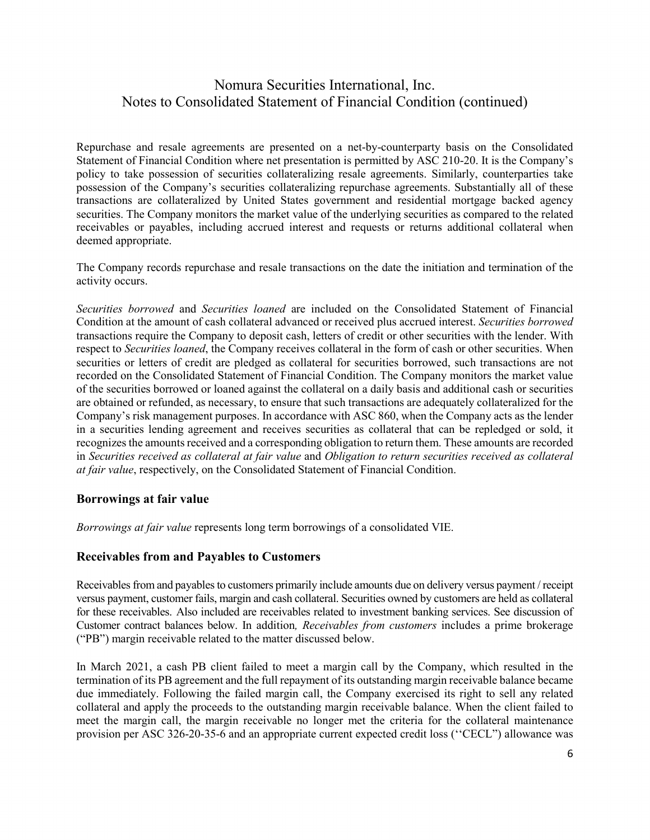Repurchase and resale agreements are presented on a net-by-counterparty basis on the Consolidated Statement of Financial Condition where net presentation is permitted by ASC 210-20. It is the Company's policy to take possession of securities collateralizing resale agreements. Similarly, counterparties take possession of the Company's securities collateralizing repurchase agreements. Substantially all of these transactions are collateralized by United States government and residential mortgage backed agency securities. The Company monitors the market value of the underlying securities as compared to the related receivables or payables, including accrued interest and requests or returns additional collateral when deemed appropriate.

The Company records repurchase and resale transactions on the date the initiation and termination of the activity occurs.

*Securities borrowed* and *Securities loaned* are included on the Consolidated Statement of Financial Condition at the amount of cash collateral advanced or received plus accrued interest. *Securities borrowed* transactions require the Company to deposit cash, letters of credit or other securities with the lender. With respect to *Securities loaned*, the Company receives collateral in the form of cash or other securities. When securities or letters of credit are pledged as collateral for securities borrowed, such transactions are not recorded on the Consolidated Statement of Financial Condition. The Company monitors the market value of the securities borrowed or loaned against the collateral on a daily basis and additional cash or securities are obtained or refunded, as necessary, to ensure that such transactions are adequately collateralized for the Company's risk management purposes. In accordance with ASC 860, when the Company acts as the lender in a securities lending agreement and receives securities as collateral that can be repledged or sold, it recognizes the amounts received and a corresponding obligation to return them. These amounts are recorded in *Securities received as collateral at fair value* and *Obligation to return securities received as collateral at fair value*, respectively, on the Consolidated Statement of Financial Condition.

### **Borrowings at fair value**

*Borrowings at fair value* represents long term borrowings of a consolidated VIE.

#### **Receivables from and Payables to Customers**

Receivables from and payables to customers primarily include amounts due on delivery versus payment / receipt versus payment, customer fails, margin and cash collateral. Securities owned by customers are held as collateral for these receivables. Also included are receivables related to investment banking services. See discussion of Customer contract balances below. In addition*, Receivables from customers* includes a prime brokerage ("PB") margin receivable related to the matter discussed below.

In March 2021, a cash PB client failed to meet a margin call by the Company, which resulted in the termination of its PB agreement and the full repayment of its outstanding margin receivable balance became due immediately. Following the failed margin call, the Company exercised its right to sell any related collateral and apply the proceeds to the outstanding margin receivable balance. When the client failed to meet the margin call, the margin receivable no longer met the criteria for the collateral maintenance provision per ASC 326-20-35-6 and an appropriate current expected credit loss (''CECL") allowance was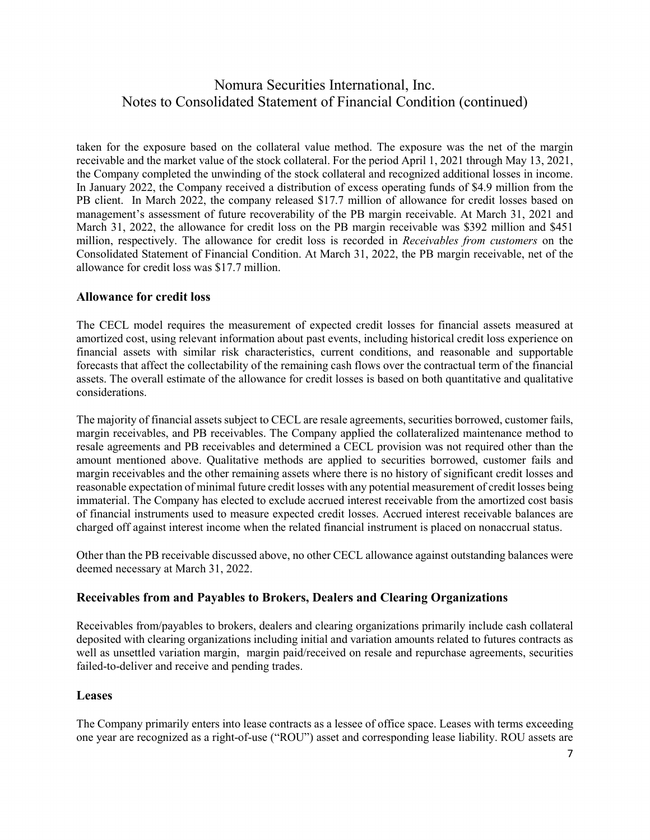taken for the exposure based on the collateral value method. The exposure was the net of the margin receivable and the market value of the stock collateral. For the period April 1, 2021 through May 13, 2021, the Company completed the unwinding of the stock collateral and recognized additional losses in income. In January 2022, the Company received a distribution of excess operating funds of \$4.9 million from the PB client. In March 2022, the company released \$17.7 million of allowance for credit losses based on management's assessment of future recoverability of the PB margin receivable. At March 31, 2021 and March 31, 2022, the allowance for credit loss on the PB margin receivable was \$392 million and \$451 million, respectively. The allowance for credit loss is recorded in *Receivables from customers* on the Consolidated Statement of Financial Condition. At March 31, 2022, the PB margin receivable, net of the allowance for credit loss was \$17.7 million.

### **Allowance for credit loss**

The CECL model requires the measurement of expected credit losses for financial assets measured at amortized cost, using relevant information about past events, including historical credit loss experience on financial assets with similar risk characteristics, current conditions, and reasonable and supportable forecasts that affect the collectability of the remaining cash flows over the contractual term of the financial assets. The overall estimate of the allowance for credit losses is based on both quantitative and qualitative considerations.

The majority of financial assets subject to CECL are resale agreements, securities borrowed, customer fails, margin receivables, and PB receivables. The Company applied the collateralized maintenance method to resale agreements and PB receivables and determined a CECL provision was not required other than the amount mentioned above. Qualitative methods are applied to securities borrowed, customer fails and margin receivables and the other remaining assets where there is no history of significant credit losses and reasonable expectation of minimal future credit losses with any potential measurement of credit losses being immaterial. The Company has elected to exclude accrued interest receivable from the amortized cost basis of financial instruments used to measure expected credit losses. Accrued interest receivable balances are charged off against interest income when the related financial instrument is placed on nonaccrual status.

Other than the PB receivable discussed above, no other CECL allowance against outstanding balances were deemed necessary at March 31, 2022.

### **Receivables from and Payables to Brokers, Dealers and Clearing Organizations**

Receivables from/payables to brokers, dealers and clearing organizations primarily include cash collateral deposited with clearing organizations including initial and variation amounts related to futures contracts as well as unsettled variation margin, margin paid/received on resale and repurchase agreements, securities failed-to-deliver and receive and pending trades.

#### **Leases**

The Company primarily enters into lease contracts as a lessee of office space. Leases with terms exceeding one year are recognized as a right-of-use ("ROU") asset and corresponding lease liability. ROU assets are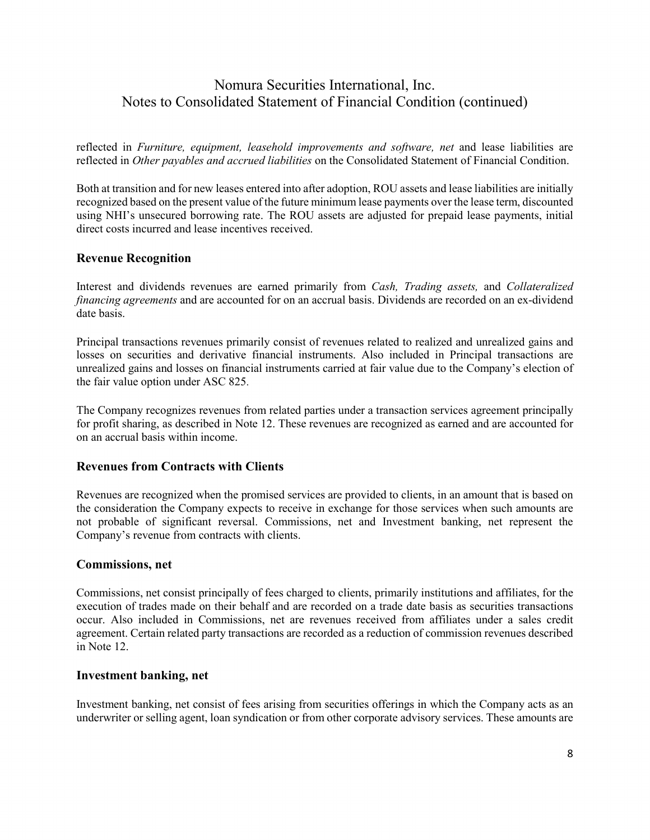reflected in *Furniture, equipment, leasehold improvements and software, net* and lease liabilities are reflected in *Other payables and accrued liabilities* on the Consolidated Statement of Financial Condition.

Both at transition and for new leases entered into after adoption, ROU assets and lease liabilities are initially recognized based on the present value of the future minimum lease payments over the lease term, discounted using NHI's unsecured borrowing rate. The ROU assets are adjusted for prepaid lease payments, initial direct costs incurred and lease incentives received.

### **Revenue Recognition**

Interest and dividends revenues are earned primarily from *Cash, Trading assets,* and *Collateralized financing agreements* and are accounted for on an accrual basis. Dividends are recorded on an ex-dividend date basis.

Principal transactions revenues primarily consist of revenues related to realized and unrealized gains and losses on securities and derivative financial instruments. Also included in Principal transactions are unrealized gains and losses on financial instruments carried at fair value due to the Company's election of the fair value option under ASC 825.

The Company recognizes revenues from related parties under a transaction services agreement principally for profit sharing, as described in Note 12. These revenues are recognized as earned and are accounted for on an accrual basis within income.

#### **Revenues from Contracts with Clients**

Revenues are recognized when the promised services are provided to clients, in an amount that is based on the consideration the Company expects to receive in exchange for those services when such amounts are not probable of significant reversal. Commissions, net and Investment banking, net represent the Company's revenue from contracts with clients.

#### **Commissions, net**

Commissions, net consist principally of fees charged to clients, primarily institutions and affiliates, for the execution of trades made on their behalf and are recorded on a trade date basis as securities transactions occur. Also included in Commissions, net are revenues received from affiliates under a sales credit agreement. Certain related party transactions are recorded as a reduction of commission revenues described in Note 12.

#### **Investment banking, net**

Investment banking, net consist of fees arising from securities offerings in which the Company acts as an underwriter or selling agent, loan syndication or from other corporate advisory services. These amounts are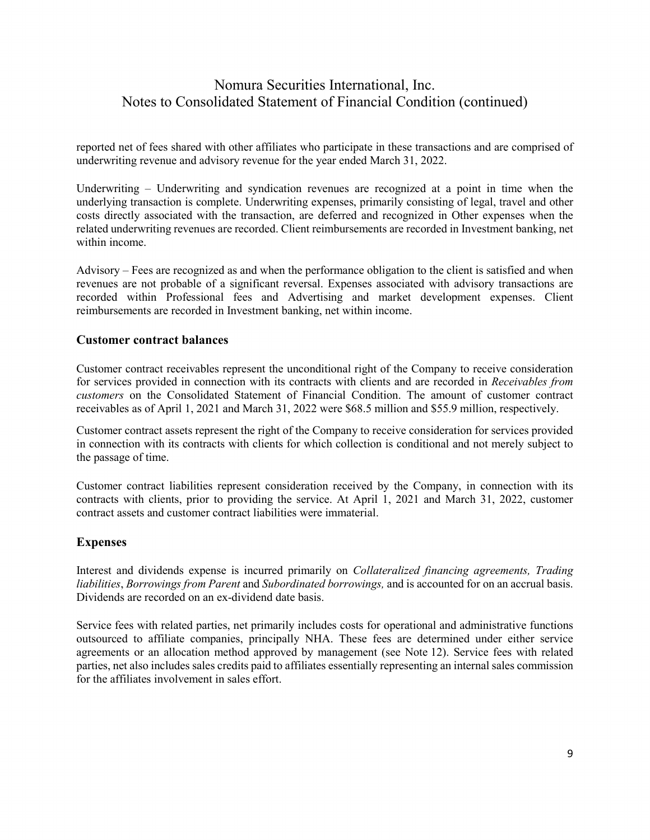reported net of fees shared with other affiliates who participate in these transactions and are comprised of underwriting revenue and advisory revenue for the year ended March 31, 2022.

Underwriting – Underwriting and syndication revenues are recognized at a point in time when the underlying transaction is complete. Underwriting expenses, primarily consisting of legal, travel and other costs directly associated with the transaction, are deferred and recognized in Other expenses when the related underwriting revenues are recorded. Client reimbursements are recorded in Investment banking, net within income.

Advisory – Fees are recognized as and when the performance obligation to the client is satisfied and when revenues are not probable of a significant reversal. Expenses associated with advisory transactions are recorded within Professional fees and Advertising and market development expenses. Client reimbursements are recorded in Investment banking, net within income.

### **Customer contract balances**

Customer contract receivables represent the unconditional right of the Company to receive consideration for services provided in connection with its contracts with clients and are recorded in *Receivables from customers* on the Consolidated Statement of Financial Condition. The amount of customer contract receivables as of April 1, 2021 and March 31, 2022 were \$68.5 million and \$55.9 million, respectively.

Customer contract assets represent the right of the Company to receive consideration for services provided in connection with its contracts with clients for which collection is conditional and not merely subject to the passage of time.

Customer contract liabilities represent consideration received by the Company, in connection with its contracts with clients, prior to providing the service. At April 1, 2021 and March 31, 2022, customer contract assets and customer contract liabilities were immaterial.

#### **Expenses**

Interest and dividends expense is incurred primarily on *Collateralized financing agreements, Trading liabilities*, *Borrowings from Parent* and *Subordinated borrowings,* and is accounted for on an accrual basis. Dividends are recorded on an ex-dividend date basis.

Service fees with related parties, net primarily includes costs for operational and administrative functions outsourced to affiliate companies, principally NHA. These fees are determined under either service agreements or an allocation method approved by management (see Note 12). Service fees with related parties, net also includes sales credits paid to affiliates essentially representing an internal sales commission for the affiliates involvement in sales effort.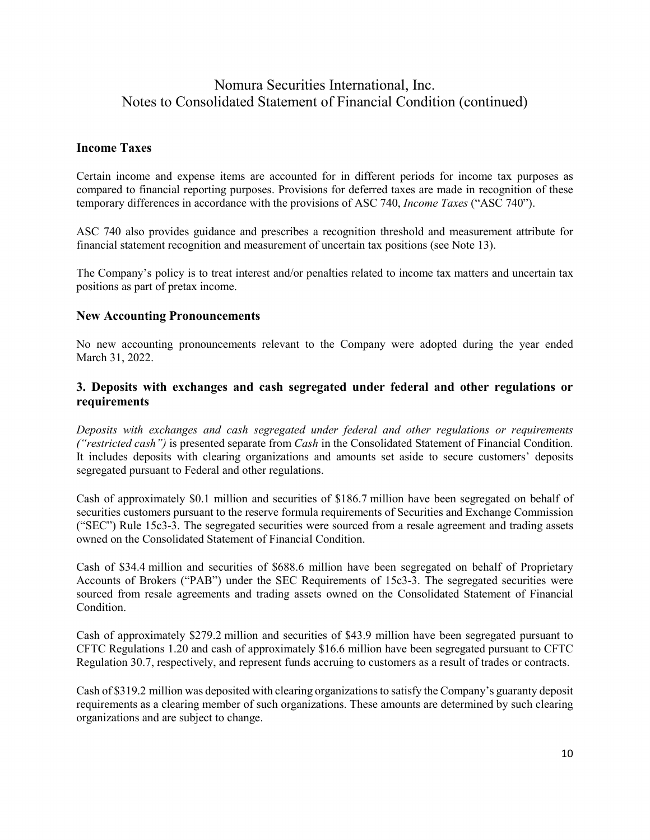### **Income Taxes**

Certain income and expense items are accounted for in different periods for income tax purposes as compared to financial reporting purposes. Provisions for deferred taxes are made in recognition of these temporary differences in accordance with the provisions of ASC 740, *Income Taxes* ("ASC 740").

ASC 740 also provides guidance and prescribes a recognition threshold and measurement attribute for financial statement recognition and measurement of uncertain tax positions (see Note 13).

The Company's policy is to treat interest and/or penalties related to income tax matters and uncertain tax positions as part of pretax income.

#### **New Accounting Pronouncements**

No new accounting pronouncements relevant to the Company were adopted during the year ended March 31, 2022.

### **3. Deposits with exchanges and cash segregated under federal and other regulations or requirements**

*Deposits with exchanges and cash segregated under federal and other regulations or requirements ("restricted cash")* is presented separate from *Cash* in the Consolidated Statement of Financial Condition. It includes deposits with clearing organizations and amounts set aside to secure customers' deposits segregated pursuant to Federal and other regulations.

Cash of approximately \$0.1 million and securities of \$186.7 million have been segregated on behalf of securities customers pursuant to the reserve formula requirements of Securities and Exchange Commission ("SEC") Rule 15c3-3. The segregated securities were sourced from a resale agreement and trading assets owned on the Consolidated Statement of Financial Condition.

Cash of \$34.4 million and securities of \$688.6 million have been segregated on behalf of Proprietary Accounts of Brokers ("PAB") under the SEC Requirements of 15c3-3. The segregated securities were sourced from resale agreements and trading assets owned on the Consolidated Statement of Financial Condition.

Cash of approximately \$279.2 million and securities of \$43.9 million have been segregated pursuant to CFTC Regulations 1.20 and cash of approximately \$16.6 million have been segregated pursuant to CFTC Regulation 30.7, respectively, and represent funds accruing to customers as a result of trades or contracts.

Cash of \$319.2 million was deposited with clearing organizations to satisfy the Company's guaranty deposit requirements as a clearing member of such organizations. These amounts are determined by such clearing organizations and are subject to change.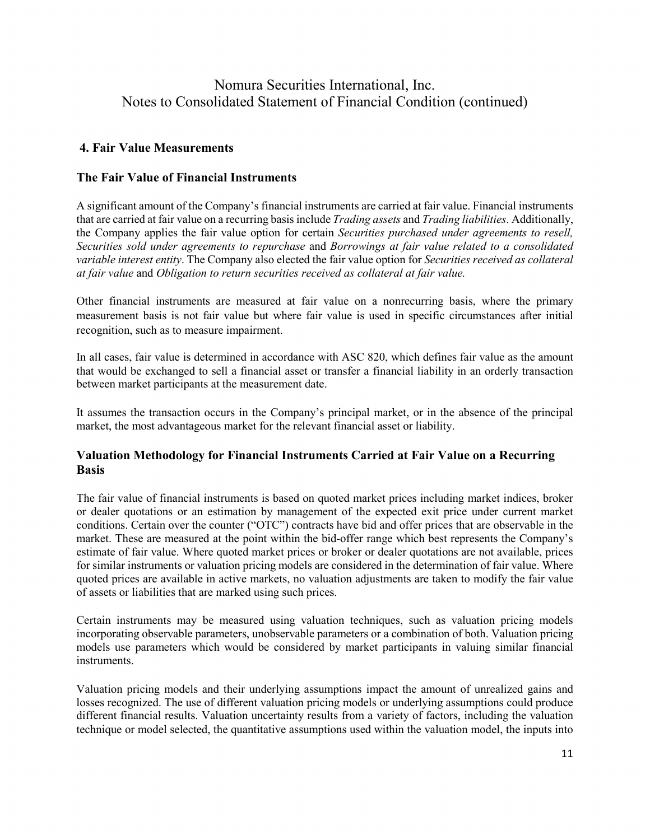### **4. Fair Value Measurements**

### **The Fair Value of Financial Instruments**

A significant amount of the Company's financial instruments are carried at fair value. Financial instruments that are carried at fair value on a recurring basis include *Trading assets* and *Trading liabilities*. Additionally, the Company applies the fair value option for certain *Securities purchased under agreements to resell, Securities sold under agreements to repurchase* and *Borrowings at fair value related to a consolidated variable interest entity*. The Company also elected the fair value option for *Securities received as collateral at fair value* and *Obligation to return securities received as collateral at fair value.*

Other financial instruments are measured at fair value on a nonrecurring basis, where the primary measurement basis is not fair value but where fair value is used in specific circumstances after initial recognition, such as to measure impairment.

In all cases, fair value is determined in accordance with ASC 820, which defines fair value as the amount that would be exchanged to sell a financial asset or transfer a financial liability in an orderly transaction between market participants at the measurement date.

It assumes the transaction occurs in the Company's principal market, or in the absence of the principal market, the most advantageous market for the relevant financial asset or liability.

### **Valuation Methodology for Financial Instruments Carried at Fair Value on a Recurring Basis**

The fair value of financial instruments is based on quoted market prices including market indices, broker or dealer quotations or an estimation by management of the expected exit price under current market conditions. Certain over the counter ("OTC") contracts have bid and offer prices that are observable in the market. These are measured at the point within the bid-offer range which best represents the Company's estimate of fair value. Where quoted market prices or broker or dealer quotations are not available, prices for similar instruments or valuation pricing models are considered in the determination of fair value. Where quoted prices are available in active markets, no valuation adjustments are taken to modify the fair value of assets or liabilities that are marked using such prices.

Certain instruments may be measured using valuation techniques, such as valuation pricing models incorporating observable parameters, unobservable parameters or a combination of both. Valuation pricing models use parameters which would be considered by market participants in valuing similar financial instruments.

Valuation pricing models and their underlying assumptions impact the amount of unrealized gains and losses recognized. The use of different valuation pricing models or underlying assumptions could produce different financial results. Valuation uncertainty results from a variety of factors, including the valuation technique or model selected, the quantitative assumptions used within the valuation model, the inputs into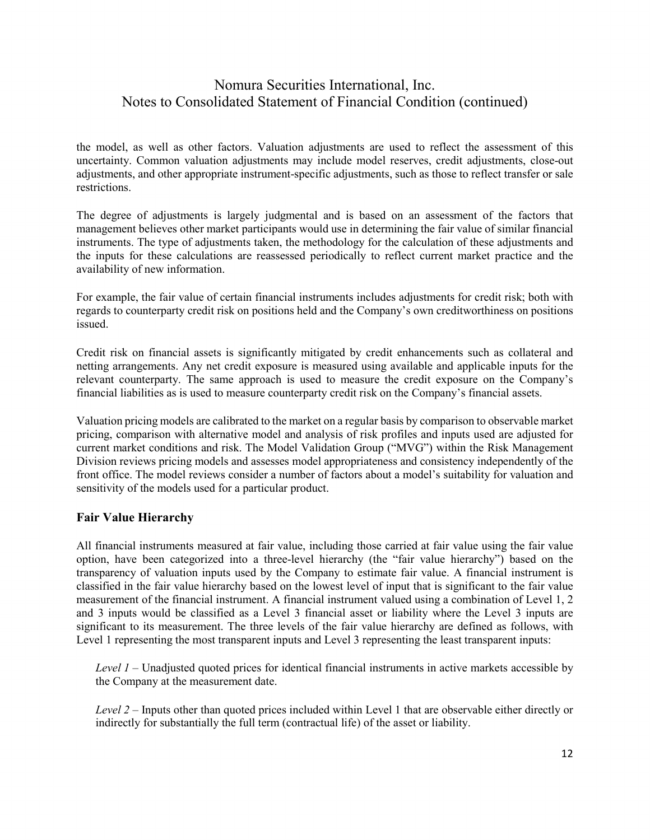the model, as well as other factors. Valuation adjustments are used to reflect the assessment of this uncertainty. Common valuation adjustments may include model reserves, credit adjustments, close-out adjustments, and other appropriate instrument-specific adjustments, such as those to reflect transfer or sale restrictions.

The degree of adjustments is largely judgmental and is based on an assessment of the factors that management believes other market participants would use in determining the fair value of similar financial instruments. The type of adjustments taken, the methodology for the calculation of these adjustments and the inputs for these calculations are reassessed periodically to reflect current market practice and the availability of new information.

For example, the fair value of certain financial instruments includes adjustments for credit risk; both with regards to counterparty credit risk on positions held and the Company's own creditworthiness on positions issued.

Credit risk on financial assets is significantly mitigated by credit enhancements such as collateral and netting arrangements. Any net credit exposure is measured using available and applicable inputs for the relevant counterparty. The same approach is used to measure the credit exposure on the Company's financial liabilities as is used to measure counterparty credit risk on the Company's financial assets.

Valuation pricing models are calibrated to the market on a regular basis by comparison to observable market pricing, comparison with alternative model and analysis of risk profiles and inputs used are adjusted for current market conditions and risk. The Model Validation Group ("MVG") within the Risk Management Division reviews pricing models and assesses model appropriateness and consistency independently of the front office. The model reviews consider a number of factors about a model's suitability for valuation and sensitivity of the models used for a particular product.

### **Fair Value Hierarchy**

All financial instruments measured at fair value, including those carried at fair value using the fair value option, have been categorized into a three-level hierarchy (the "fair value hierarchy") based on the transparency of valuation inputs used by the Company to estimate fair value. A financial instrument is classified in the fair value hierarchy based on the lowest level of input that is significant to the fair value measurement of the financial instrument. A financial instrument valued using a combination of Level 1, 2 and 3 inputs would be classified as a Level 3 financial asset or liability where the Level 3 inputs are significant to its measurement. The three levels of the fair value hierarchy are defined as follows, with Level 1 representing the most transparent inputs and Level 3 representing the least transparent inputs:

*Level 1* – Unadjusted quoted prices for identical financial instruments in active markets accessible by the Company at the measurement date.

*Level 2 –* Inputs other than quoted prices included within Level 1 that are observable either directly or indirectly for substantially the full term (contractual life) of the asset or liability.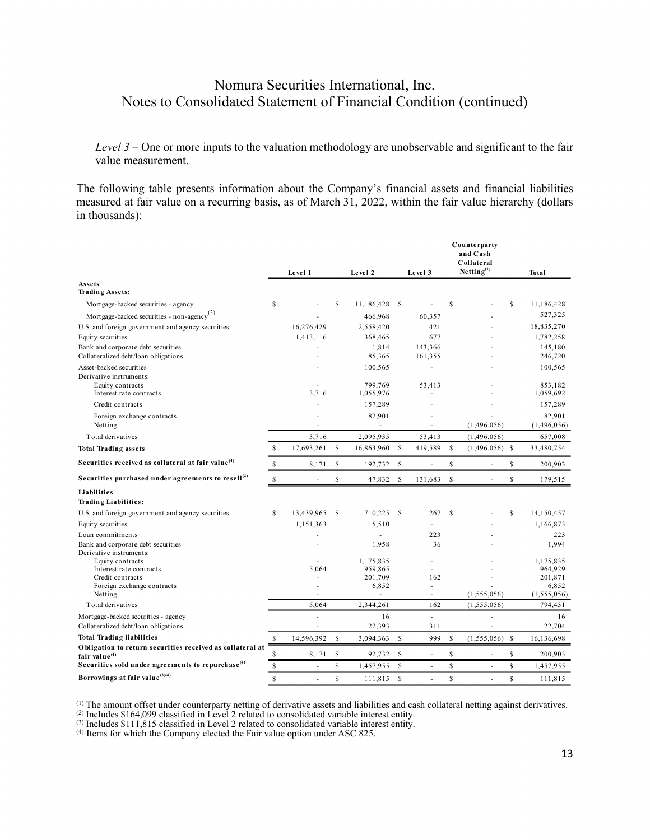*Level 3* – One or more inputs to the valuation methodology are unobservable and significant to the fair value measurement.

The following table presents information about the Company's financial assets and financial liabilities measured at fair value on a recurring basis, as of March 31, 2022, within the fair value hierarchy (dollars in thousands):

|                                                                               |              | Level 1    |               | Level 2                |               | Level 3            |               | Counterparty<br>and Cash<br>Collateral<br>Netting <sup>(1)</sup> |             | Total                             |
|-------------------------------------------------------------------------------|--------------|------------|---------------|------------------------|---------------|--------------------|---------------|------------------------------------------------------------------|-------------|-----------------------------------|
| Assets<br><b>Trading Assets:</b>                                              |              |            |               |                        |               |                    |               |                                                                  |             |                                   |
| Mortgage-backed securities - agency                                           | \$           |            | \$            | 11,186,428             | S             |                    | S             |                                                                  | S           | 11,186,428                        |
| Mortgage-backed securities - non-agency <sup>(2)</sup>                        |              |            |               | 466,968                |               | 60,357             |               |                                                                  |             | 527,325                           |
| U.S. and foreign government and agency securities                             |              | 16,276,429 |               | 2,558,420              |               | 421                |               |                                                                  |             | 18,835,270                        |
| Equity securities                                                             |              | 1,413,116  |               | 368,465                |               | 677                |               |                                                                  |             | 1,782,258                         |
| Bank and corporate debt securities<br>Collateralized debt/loan obligations    |              | L,         |               | 1.814<br>85,365        |               | 143,366<br>161,355 |               |                                                                  |             | 145.180<br>246,720                |
| Asset-backed securities<br>Derivative instruments:                            |              |            |               | 100,565                |               | ä,                 |               |                                                                  |             | 100,565                           |
| Equity contracts<br>Interest rate contracts                                   |              | 3,716      |               | 799.769<br>1,055,976   |               | 53,413             |               |                                                                  |             | 853.182<br>1,059,692              |
| Credit contracts                                                              |              |            |               | 157,289                |               |                    |               |                                                                  |             | 157,289                           |
| Foreign exchange contracts<br>Netting                                         |              |            |               | 82,901                 |               |                    |               | (1,496,056)                                                      |             | 82,901<br>(1,496,056)             |
| Total derivatives                                                             |              | 3,716      |               | 2,095,935              |               | 53,413             |               | (1,496,056)                                                      |             | 657,008                           |
| <b>Total Trading assets</b>                                                   | \$           | 17,693,261 | <sup>\$</sup> | 16,863,960             | S             | 419,589            | <sup>\$</sup> | $(1,496,056)$ \$                                                 |             | 33,480,754                        |
| Securities received as collateral at fair value <sup>(4)</sup>                | \$           | 8,171      | \$            | 192,732                | \$            |                    | \$            |                                                                  | \$          | 200,903                           |
| Securities purchased under agreements to resell <sup>(4)</sup>                | $\mathbb{S}$ | ä,         | \$            | 47,832                 | <sup>\$</sup> | 131,683            | \$            | ÷,                                                               | $\mathsf S$ | 179,515                           |
| Liabilities<br><b>Trading Liabilities:</b>                                    |              |            |               |                        |               |                    |               |                                                                  |             |                                   |
| U.S. and foreign government and agency securities                             | S            | 13,439,965 | S             | 710.225                | S             | 267                | <sup>\$</sup> |                                                                  | S           | 14,150,457                        |
| Equity securities                                                             |              | 1,151,363  |               | 15,510                 |               |                    |               |                                                                  |             | 1,166,873                         |
| Loan commitments                                                              |              |            |               |                        |               | 223                |               |                                                                  |             | 223                               |
| Bank and corporate debt securities<br>Derivative instruments:                 |              |            |               | 1,958                  |               | 36                 |               |                                                                  |             | 1,994                             |
| Equity contracts<br>Interest rate contracts                                   |              | 5,064      |               | 1,175,835<br>959,865   |               | $\overline{a}$     |               |                                                                  |             | 1,175,835<br>964,929              |
| Credit contracts<br>Foreign exchange contracts<br>Netting                     |              |            |               | 201,709<br>6,852<br>ä, |               | 162<br>ä,<br>ä,    |               | (1,555,056)                                                      |             | 201,871<br>6,852<br>(1, 555, 056) |
| Total derivatives                                                             |              | 5,064      |               | 2,344,261              |               | 162                |               | (1, 555, 056)                                                    |             | 794,431                           |
| Mortgage-backed securities - agency<br>Collateralized debt/loan obligations   |              | í,<br>ä,   |               | 16<br>22,393           |               | L.<br>311          |               | ÷.                                                               |             | 16<br>22,704                      |
| <b>Total Trading liabilities</b>                                              | \$           | 14,596,392 | $\mathbf S$   | 3,094,363              | <sup>\$</sup> | 999                | \$            | $(1,555,056)$ \$                                                 |             | 16,136,698                        |
| Obligation to return securities received as collateral at<br>fair value $(4)$ | S            | 8,171      | <sup>\$</sup> | 192,732                | \$            |                    | $\mathbb{S}$  |                                                                  | S           | 200,903                           |
| Securities sold under agreements to repurchase <sup>(4)</sup>                 | \$           | L          | $\mathbf S$   | 1,457,955              | $\mathbf S$   | L.                 | $\mathbb{S}$  | ÷.                                                               | S           | 1,457,955                         |
| Borrowings at fair value $(3)(4)$                                             | \$           | ÷,         | $\mathbf S$   | 111,815                | $\mathbf S$   | ä,                 | \$            | ÷,                                                               | S           | 111,815                           |

 $<sup>(1)</sup>$  The amount offset under counterparty netting of derivative assets and liabilities and cash collateral netting against derivatives.</sup>

(2) Includes \$164,099 classified in Level 2 related to consolidated variable interest entity.<br>(3) Includes \$111,815 classified in Level 2 related to consolidated variable interest entity.<br>(4) Items for which the Company e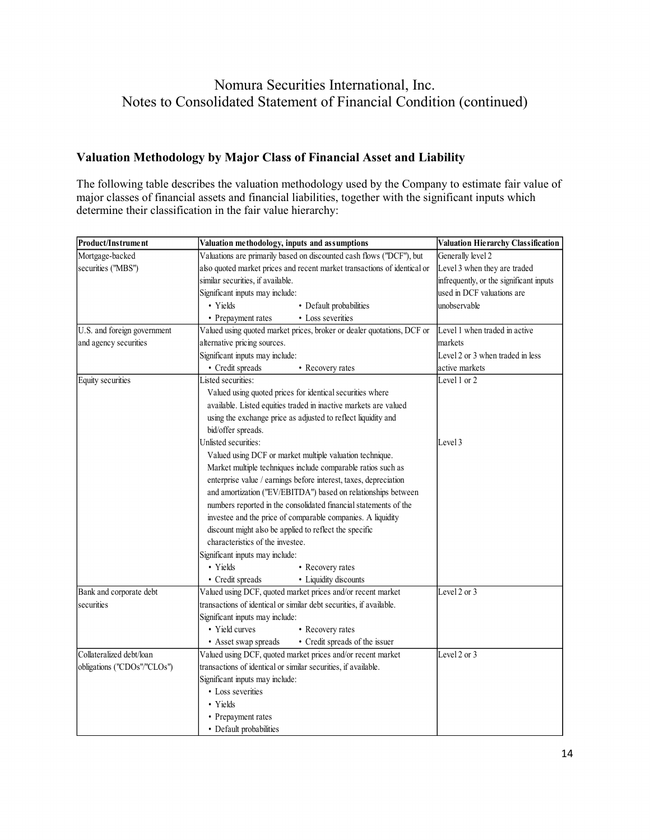## **Valuation Methodology by Major Class of Financial Asset and Liability**

The following table describes the valuation methodology used by the Company to estimate fair value of major classes of financial assets and financial liabilities, together with the significant inputs which determine their classification in the fair value hierarchy:

| Product/Instrument          | Valuation methodology, inputs and assumptions                            | Valuation Hierarchy Classification      |
|-----------------------------|--------------------------------------------------------------------------|-----------------------------------------|
| Mortgage-backed             | Valuations are primarily based on discounted cash flows ("DCF"), but     | Generally level 2                       |
| securities ("MBS")          | also quoted market prices and recent market transactions of identical or | Level 3 when they are traded            |
|                             | similar securities, if available.                                        | infrequently, or the significant inputs |
|                             | Significant inputs may include:                                          | used in DCF valuations are              |
|                             | • Yields<br>• Default probabilities                                      | unobservable                            |
|                             | • Prepayment rates<br>• Loss severities                                  |                                         |
| U.S. and foreign government | Valued using quoted market prices, broker or dealer quotations, DCF or   | Level 1 when traded in active           |
| and agency securities       | alternative pricing sources.                                             | markets                                 |
|                             | Significant inputs may include:                                          | Level 2 or 3 when traded in less        |
|                             | • Credit spreads<br>• Recovery rates                                     | active markets                          |
| Equity securities           | Listed securities:                                                       | Level 1 or 2                            |
|                             | Valued using quoted prices for identical securities where                |                                         |
|                             | available. Listed equities traded in inactive markets are valued         |                                         |
|                             | using the exchange price as adjusted to reflect liquidity and            |                                         |
|                             | bid/offer spreads.                                                       |                                         |
|                             | Unlisted securities:                                                     | Level 3                                 |
|                             | Valued using DCF or market multiple valuation technique.                 |                                         |
|                             | Market multiple techniques include comparable ratios such as             |                                         |
|                             | enterprise value / earnings before interest, taxes, depreciation         |                                         |
|                             | and amortization ("EV/EBITDA") based on relationships between            |                                         |
|                             | numbers reported in the consolidated financial statements of the         |                                         |
|                             | investee and the price of comparable companies. A liquidity              |                                         |
|                             | discount might also be applied to reflect the specific                   |                                         |
|                             | characteristics of the investee.                                         |                                         |
|                             | Significant inputs may include:                                          |                                         |
|                             | • Yields<br>• Recovery rates                                             |                                         |
|                             | • Credit spreads<br>• Liquidity discounts                                |                                         |
| Bank and corporate debt     | Valued using DCF, quoted market prices and/or recent market              | Level 2 or 3                            |
| securities                  | transactions of identical or similar debt securities, if available.      |                                         |
|                             | Significant inputs may include:                                          |                                         |
|                             | • Yield curves<br>• Recovery rates                                       |                                         |
|                             | • Credit spreads of the issuer<br>• Asset swap spreads                   |                                         |
| Collateralized debt/loan    | Valued using DCF, quoted market prices and/or recent market              | Level 2 or 3                            |
| obligations ("CDOs"/"CLOs") | transactions of identical or similar securities, if available.           |                                         |
|                             | Significant inputs may include:                                          |                                         |
|                             | • Loss severities                                                        |                                         |
|                             | • Yields                                                                 |                                         |
|                             | • Prepayment rates                                                       |                                         |
|                             | • Default probabilities                                                  |                                         |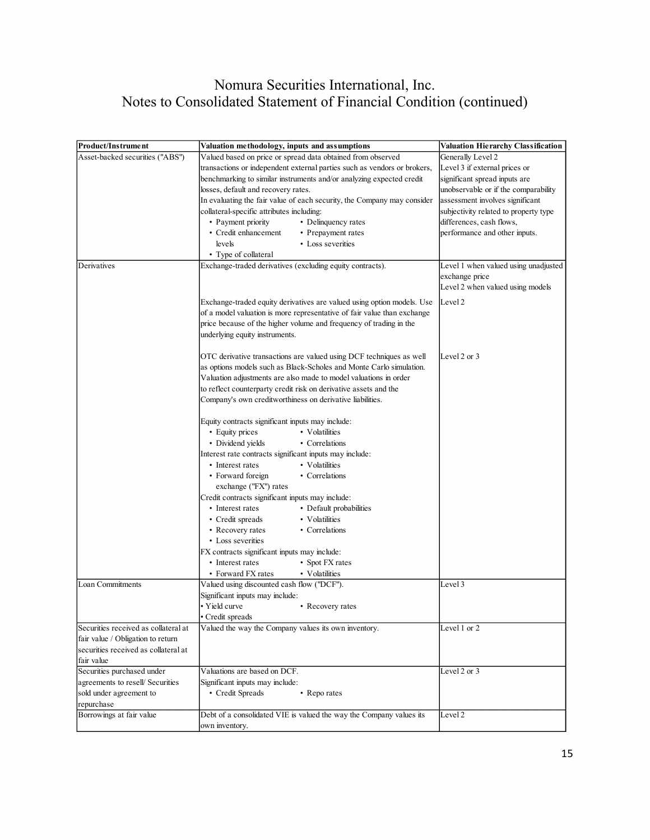| Product/Instrument                   | Valuation methodology, inputs and assumptions                            | Valuation Hierarchy Classification    |
|--------------------------------------|--------------------------------------------------------------------------|---------------------------------------|
| Asset-backed securities ("ABS")      | Valued based on price or spread data obtained from observed              | Generally Level 2                     |
|                                      | transactions or independent external parties such as vendors or brokers, | Level 3 if external prices or         |
|                                      | benchmarking to similar instruments and/or analyzing expected credit     | significant spread inputs are         |
|                                      | losses, default and recovery rates.                                      | unobservable or if the comparability  |
|                                      | In evaluating the fair value of each security, the Company may consider  | assessment involves significant       |
|                                      | collateral-specific attributes including:                                | subjectivity related to property type |
|                                      | • Payment priority<br>• Delinquency rates                                | differences, cash flows,              |
|                                      | • Credit enhancement<br>• Prepayment rates                               | performance and other inputs.         |
|                                      | levels<br>• Loss severities                                              |                                       |
|                                      | • Type of collateral                                                     |                                       |
| Derivatives                          | Exchange-traded derivatives (excluding equity contracts).                | Level 1 when valued using unadjusted  |
|                                      |                                                                          | exchange price                        |
|                                      |                                                                          | Level 2 when valued using models      |
|                                      |                                                                          |                                       |
|                                      | Exchange-traded equity derivatives are valued using option models. Use   | Level 2                               |
|                                      | of a model valuation is more representative of fair value than exchange  |                                       |
|                                      | price because of the higher volume and frequency of trading in the       |                                       |
|                                      | underlying equity instruments.                                           |                                       |
|                                      | OTC derivative transactions are valued using DCF techniques as well      | Level 2 or 3                          |
|                                      | as options models such as Black-Scholes and Monte Carlo simulation.      |                                       |
|                                      |                                                                          |                                       |
|                                      | Valuation adjustments are also made to model valuations in order         |                                       |
|                                      | to reflect counterparty credit risk on derivative assets and the         |                                       |
|                                      | Company's own creditworthiness on derivative liabilities.                |                                       |
|                                      | Equity contracts significant inputs may include:                         |                                       |
|                                      | • Equity prices<br>• Volatilities                                        |                                       |
|                                      | • Dividend yields<br>• Correlations                                      |                                       |
|                                      | Interest rate contracts significant inputs may include:                  |                                       |
|                                      | • Interest rates<br>• Volatilities                                       |                                       |
|                                      | • Correlations<br>• Forward foreign                                      |                                       |
|                                      | exchange ("FX") rates                                                    |                                       |
|                                      | Credit contracts significant inputs may include:                         |                                       |
|                                      | • Interest rates<br>• Default probabilities                              |                                       |
|                                      | • Credit spreads<br>• Volatilities                                       |                                       |
|                                      | • Recovery rates<br>• Correlations                                       |                                       |
|                                      | • Loss severities                                                        |                                       |
|                                      | FX contracts significant inputs may include:                             |                                       |
|                                      | • Interest rates<br>• Spot FX rates                                      |                                       |
|                                      | • Forward FX rates<br>• Volatilities                                     |                                       |
| Loan Commitments                     | Valued using discounted cash flow ("DCF").                               | Level 3                               |
|                                      | Significant inputs may include:                                          |                                       |
|                                      | • Yield curve<br>• Recovery rates                                        |                                       |
|                                      | • Credit spreads                                                         |                                       |
| Securities received as collateral at | Valued the way the Company values its own inventory.                     | Level 1 or 2                          |
| fair value / Obligation to return    |                                                                          |                                       |
| securities received as collateral at |                                                                          |                                       |
| fair value                           |                                                                          |                                       |
| Securities purchased under           | Valuations are based on DCF.                                             | Level 2 or 3                          |
| agreements to resell/ Securities     | Significant inputs may include:                                          |                                       |
| sold under agreement to              | • Credit Spreads<br>• Reporates                                          |                                       |
| repurchase                           |                                                                          |                                       |
| Borrowings at fair value             | Debt of a consolidated VIE is valued the way the Company values its      | Level 2                               |
|                                      | own inventory.                                                           |                                       |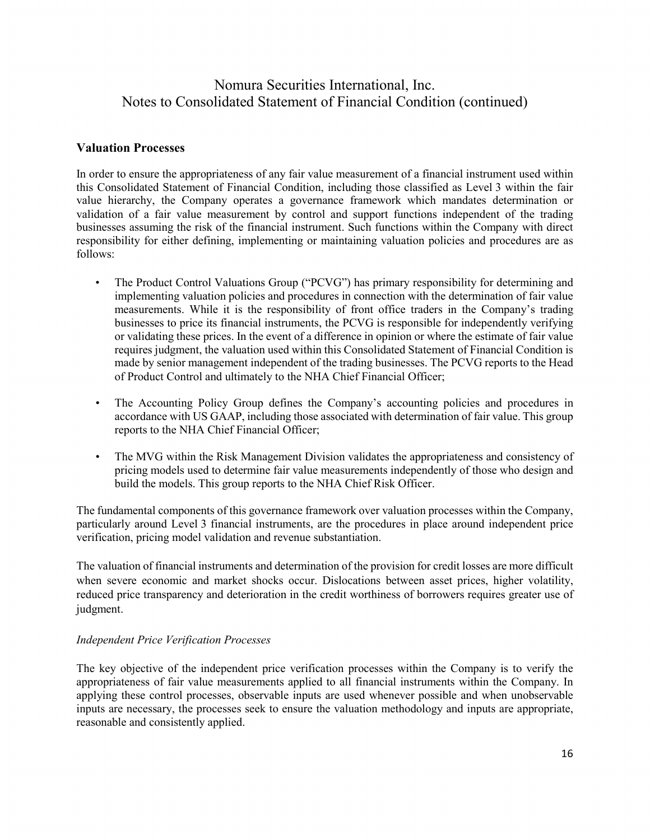### **Valuation Processes**

In order to ensure the appropriateness of any fair value measurement of a financial instrument used within this Consolidated Statement of Financial Condition, including those classified as Level 3 within the fair value hierarchy, the Company operates a governance framework which mandates determination or validation of a fair value measurement by control and support functions independent of the trading businesses assuming the risk of the financial instrument. Such functions within the Company with direct responsibility for either defining, implementing or maintaining valuation policies and procedures are as follows:

- The Product Control Valuations Group ("PCVG") has primary responsibility for determining and implementing valuation policies and procedures in connection with the determination of fair value measurements. While it is the responsibility of front office traders in the Company's trading businesses to price its financial instruments, the PCVG is responsible for independently verifying or validating these prices. In the event of a difference in opinion or where the estimate of fair value requires judgment, the valuation used within this Consolidated Statement of Financial Condition is made by senior management independent of the trading businesses. The PCVG reports to the Head of Product Control and ultimately to the NHA Chief Financial Officer;
- The Accounting Policy Group defines the Company's accounting policies and procedures in accordance with US GAAP, including those associated with determination of fair value. This group reports to the NHA Chief Financial Officer;
- The MVG within the Risk Management Division validates the appropriateness and consistency of pricing models used to determine fair value measurements independently of those who design and build the models. This group reports to the NHA Chief Risk Officer.

The fundamental components of this governance framework over valuation processes within the Company, particularly around Level 3 financial instruments, are the procedures in place around independent price verification, pricing model validation and revenue substantiation.

The valuation of financial instruments and determination of the provision for credit losses are more difficult when severe economic and market shocks occur. Dislocations between asset prices, higher volatility, reduced price transparency and deterioration in the credit worthiness of borrowers requires greater use of judgment.

### *Independent Price Verification Processes*

The key objective of the independent price verification processes within the Company is to verify the appropriateness of fair value measurements applied to all financial instruments within the Company. In applying these control processes, observable inputs are used whenever possible and when unobservable inputs are necessary, the processes seek to ensure the valuation methodology and inputs are appropriate, reasonable and consistently applied.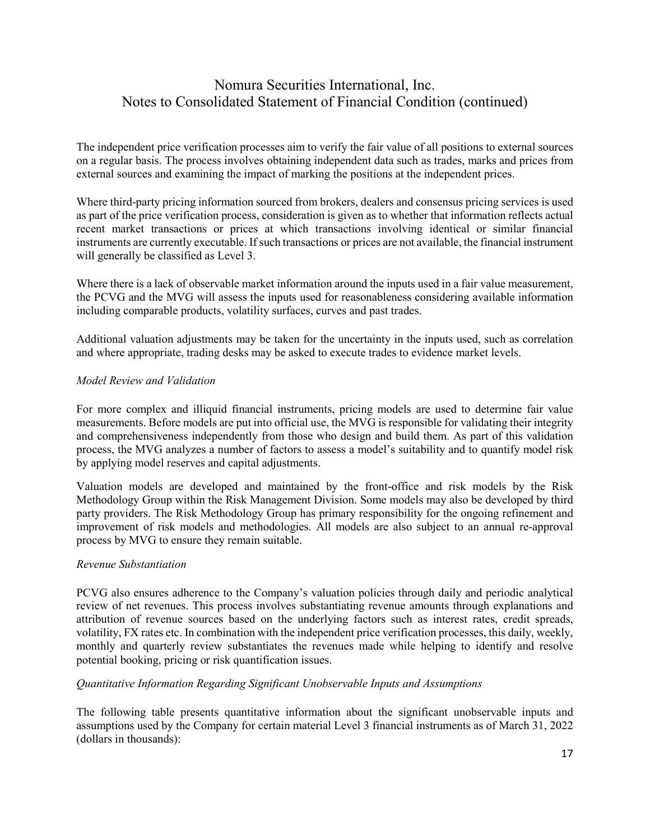The independent price verification processes aim to verify the fair value of all positions to external sources on a regular basis. The process involves obtaining independent data such as trades, marks and prices from external sources and examining the impact of marking the positions at the independent prices.

Where third-party pricing information sourced from brokers, dealers and consensus pricing services is used as part of the price verification process, consideration is given as to whether that information reflects actual recent market transactions or prices at which transactions involving identical or similar financial instruments are currently executable. If such transactions or prices are not available, the financial instrument will generally be classified as Level 3.

Where there is a lack of observable market information around the inputs used in a fair value measurement, the PCVG and the MVG will assess the inputs used for reasonableness considering available information including comparable products, volatility surfaces, curves and past trades.

Additional valuation adjustments may be taken for the uncertainty in the inputs used, such as correlation and where appropriate, trading desks may be asked to execute trades to evidence market levels.

#### *Model Review and Validation*

For more complex and illiquid financial instruments, pricing models are used to determine fair value measurements. Before models are put into official use, the MVG is responsible for validating their integrity and comprehensiveness independently from those who design and build them. As part of this validation process, the MVG analyzes a number of factors to assess a model's suitability and to quantify model risk by applying model reserves and capital adjustments.

Valuation models are developed and maintained by the front-office and risk models by the Risk Methodology Group within the Risk Management Division. Some models may also be developed by third party providers. The Risk Methodology Group has primary responsibility for the ongoing refinement and improvement of risk models and methodologies. All models are also subject to an annual re-approval process by MVG to ensure they remain suitable.

#### *Revenue Substantiation*

PCVG also ensures adherence to the Company's valuation policies through daily and periodic analytical review of net revenues. This process involves substantiating revenue amounts through explanations and attribution of revenue sources based on the underlying factors such as interest rates, credit spreads, volatility, FX rates etc. In combination with the independent price verification processes, this daily, weekly, monthly and quarterly review substantiates the revenues made while helping to identify and resolve potential booking, pricing or risk quantification issues.

#### *Quantitative Information Regarding Significant Unobservable Inputs and Assumptions*

The following table presents quantitative information about the significant unobservable inputs and assumptions used by the Company for certain material Level 3 financial instruments as of March 31, 2022 (dollars in thousands):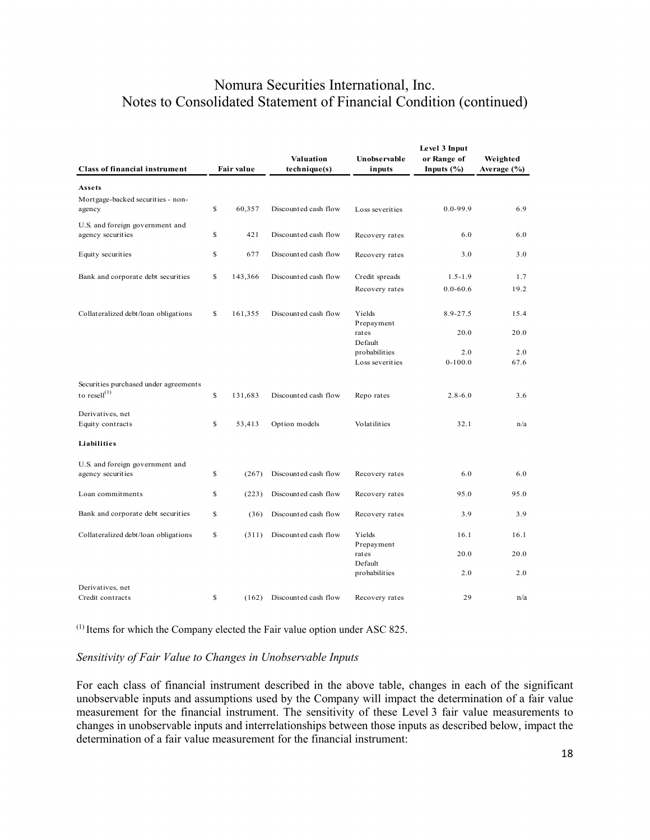| <b>Class of financial instrument</b>                 |    | <b>Fair value</b> | Valuation<br>technique(s) | Unobservable<br>inputs | Level 3 Input<br>or Range of<br>Inputs $(\% )$ | Weighted<br>Average (%) |
|------------------------------------------------------|----|-------------------|---------------------------|------------------------|------------------------------------------------|-------------------------|
|                                                      |    |                   |                           |                        |                                                |                         |
| Assets                                               |    |                   |                           |                        |                                                |                         |
| Mortgage-backed securities - non-<br>agency          | \$ | 60,357            | Discounted cash flow      | Loss severities        | $0.0 - 99.9$                                   | 6.9                     |
| U.S. and foreign government and<br>agency securities | \$ | 421               | Discounted cash flow      | Recovery rates         | 6.0                                            | 6.0                     |
| Equity securities                                    | \$ | 677               | Discounted cash flow      | Recovery rates         | 3.0                                            | 3.0                     |
| Bank and corporate debt securities                   | \$ | 143,366           | Discounted cash flow      | Credit spreads         | $1.5 - 1.9$                                    | 1.7                     |
|                                                      |    |                   |                           | Recovery rates         | $0.0 - 60.6$                                   | 19.2                    |
| Collateralized debt/loan obligations                 | \$ | 161,355           | Discounted cash flow      | Yields<br>Prepayment   | $8.9 - 27.5$                                   | 15.4                    |
|                                                      |    |                   |                           | rates<br>Default       | 20.0                                           | 20.0                    |
|                                                      |    |                   |                           | probabilities          | 2.0                                            | 2.0                     |
|                                                      |    |                   |                           | Loss severities        | $0 - 100.0$                                    | 67.6                    |
| Securities purchased under agreements                |    |                   |                           |                        |                                                |                         |
| to resell $^{(1)}$                                   | \$ | 131,683           | Discounted cash flow      | Repo rates             | $2.8 - 6.0$                                    | 3.6                     |
| Derivatives, net                                     |    |                   |                           |                        |                                                |                         |
| Equity contracts                                     | \$ | 53,413            | Option models             | Volatilities           | 32.1                                           | n/a                     |
| Liabilities                                          |    |                   |                           |                        |                                                |                         |
| U.S. and foreign government and                      |    |                   |                           |                        |                                                |                         |
| agency securities                                    | \$ | (267)             | Discounted cash flow      | Recovery rates         | 6.0                                            | 6.0                     |
| Loan commitments                                     | \$ | (223)             | Discounted cash flow      | Recovery rates         | 95.0                                           | 95.0                    |
| Bank and corporate debt securities                   | \$ | (36)              | Discounted cash flow      | Recovery rates         | 3.9                                            | 3.9                     |
| Collateralized debt/loan obligations                 | \$ | (311)             | Discounted cash flow      | Yields                 | 16.1                                           | 16.1                    |
|                                                      |    |                   |                           | Prepayment<br>rates    | 20.0                                           | 20.0                    |
|                                                      |    |                   |                           | Default                |                                                |                         |
|                                                      |    |                   |                           | probabilities          | 2.0                                            | 2.0                     |
| Derivatives, net                                     |    |                   |                           |                        |                                                |                         |
| Credit contracts                                     | \$ | (162)             | Discounted cash flow      | Recovery rates         | 29                                             | n/a                     |

(1) Items for which the Company elected the Fair value option under ASC 825.

#### *Sensitivity of Fair Value to Changes in Unobservable Inputs*

For each class of financial instrument described in the above table, changes in each of the significant unobservable inputs and assumptions used by the Company will impact the determination of a fair value measurement for the financial instrument. The sensitivity of these Level 3 fair value measurements to changes in unobservable inputs and interrelationships between those inputs as described below, impact the determination of a fair value measurement for the financial instrument: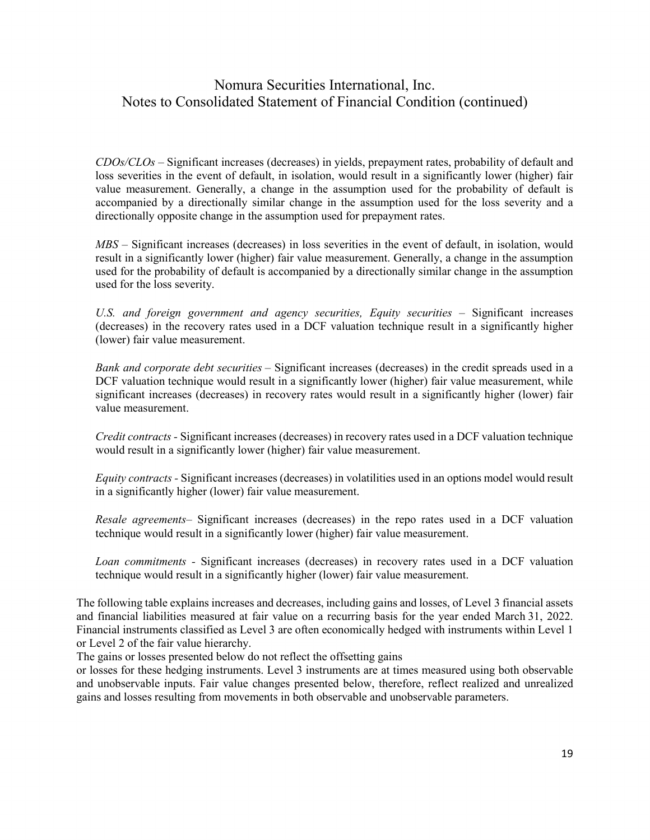*CDOs/CLOs* – Significant increases (decreases) in yields, prepayment rates, probability of default and loss severities in the event of default, in isolation, would result in a significantly lower (higher) fair value measurement. Generally, a change in the assumption used for the probability of default is accompanied by a directionally similar change in the assumption used for the loss severity and a directionally opposite change in the assumption used for prepayment rates.

*MBS* – Significant increases (decreases) in loss severities in the event of default, in isolation, would result in a significantly lower (higher) fair value measurement. Generally, a change in the assumption used for the probability of default is accompanied by a directionally similar change in the assumption used for the loss severity.

*U.S. and foreign government and agency securities, Equity securities* – Significant increases (decreases) in the recovery rates used in a DCF valuation technique result in a significantly higher (lower) fair value measurement.

*Bank and corporate debt securities* – Significant increases (decreases) in the credit spreads used in a DCF valuation technique would result in a significantly lower (higher) fair value measurement, while significant increases (decreases) in recovery rates would result in a significantly higher (lower) fair value measurement.

*Credit contracts -* Significant increases (decreases) in recovery rates used in a DCF valuation technique would result in a significantly lower (higher) fair value measurement.

*Equity contracts -* Significant increases (decreases) in volatilities used in an options model would result in a significantly higher (lower) fair value measurement.

*Resale agreements–* Significant increases (decreases) in the repo rates used in a DCF valuation technique would result in a significantly lower (higher) fair value measurement.

*Loan commitments -* Significant increases (decreases) in recovery rates used in a DCF valuation technique would result in a significantly higher (lower) fair value measurement.

The following table explains increases and decreases, including gains and losses, of Level 3 financial assets and financial liabilities measured at fair value on a recurring basis for the year ended March 31, 2022. Financial instruments classified as Level 3 are often economically hedged with instruments within Level 1 or Level 2 of the fair value hierarchy.

The gains or losses presented below do not reflect the offsetting gains

or losses for these hedging instruments. Level 3 instruments are at times measured using both observable and unobservable inputs. Fair value changes presented below, therefore, reflect realized and unrealized gains and losses resulting from movements in both observable and unobservable parameters.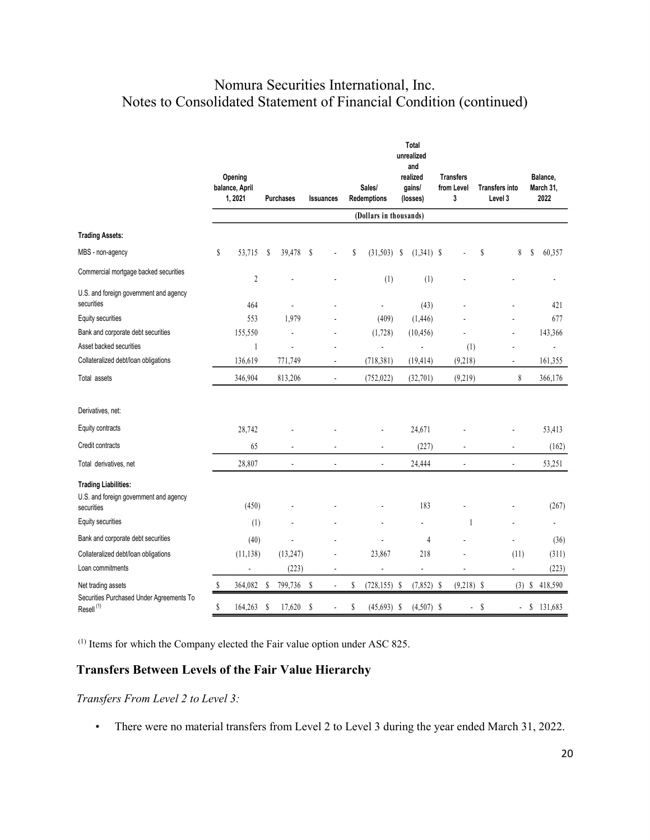|                                                                                     |             | Opening<br>balance, April<br>1, 2021 |    | <b>Purchases</b> | <b>Issuances</b> |                          | Sales/<br>Redemptions  | <b>Total</b><br>unrealized<br>and<br>realized<br>gains/<br>(losses) | <b>Transfers</b><br>from Level<br>3 |                                  | <b>Transfers into</b><br>Level 3 |   | Balance,<br>March 31,<br>2022 |
|-------------------------------------------------------------------------------------|-------------|--------------------------------------|----|------------------|------------------|--------------------------|------------------------|---------------------------------------------------------------------|-------------------------------------|----------------------------------|----------------------------------|---|-------------------------------|
|                                                                                     |             |                                      |    |                  |                  |                          | (Dollars in thousands) |                                                                     |                                     |                                  |                                  |   |                               |
| <b>Trading Assets:</b>                                                              |             |                                      |    |                  |                  |                          |                        |                                                                     |                                     |                                  |                                  |   |                               |
| MBS - non-agency                                                                    | $\mathbb S$ | 53,715                               | S  | 39,478           | S                |                          | \$<br>$(31,503)$ \$    | $(1,341)$ \$                                                        |                                     | S                                | 8                                | S | 60,357                        |
| Commercial mortgage backed securities                                               |             | $\sqrt{2}$                           |    |                  |                  |                          | (1)                    | (1)                                                                 |                                     |                                  |                                  |   |                               |
| U.S. and foreign government and agency<br>securities                                |             | 464                                  |    |                  |                  |                          |                        | (43)                                                                |                                     |                                  |                                  |   | 421                           |
| Equity securities                                                                   |             | 553                                  |    | 1,979            |                  |                          | (409)                  | (1, 446)                                                            |                                     |                                  |                                  |   | 677                           |
| Bank and corporate debt securities                                                  |             | 155,550                              |    |                  |                  |                          | (1,728)                | (10, 456)                                                           |                                     |                                  | $\overline{a}$                   |   | 143,366                       |
| Asset backed securities                                                             |             | 1                                    |    | ä,               |                  |                          | L.                     |                                                                     | (1)                                 |                                  |                                  |   | $\overline{a}$                |
| Collateralized debt/loan obligations                                                |             | 136,619                              |    | 771,749          |                  | $\blacksquare$           | (718, 381)             | (19, 414)                                                           | (9, 218)                            |                                  | $\overline{a}$                   |   | 161,355                       |
| Total assets                                                                        |             | 346,904                              |    | 813,206          |                  | ٠                        | (752, 022)             | (32,701)                                                            | (9, 219)                            |                                  | 8                                |   | 366,176                       |
| Derivatives, net:                                                                   |             |                                      |    |                  |                  |                          |                        |                                                                     |                                     |                                  |                                  |   |                               |
| Equity contracts                                                                    |             | 28,742                               |    |                  |                  |                          |                        | 24,671                                                              |                                     |                                  |                                  |   | 53,413                        |
| Credit contracts                                                                    |             | 65                                   |    | ÷,               |                  | $\overline{\phantom{a}}$ | ÷,                     | (227)                                                               |                                     |                                  | ÷,                               |   | (162)                         |
| Total derivatives, net                                                              |             | 28,807                               |    | ÷                |                  | $\overline{a}$           | $\overline{a}$         | 24,444                                                              | $\overline{a}$                      |                                  | $\overline{a}$                   |   | 53,251                        |
| <b>Trading Liabilities:</b><br>U.S. and foreign government and agency<br>securities |             | (450)                                |    |                  |                  |                          |                        | 183                                                                 |                                     |                                  |                                  |   | (267)                         |
| Equity securities                                                                   |             | (1)                                  |    |                  |                  |                          |                        | ä,                                                                  | 1                                   |                                  |                                  |   | ä,                            |
| Bank and corporate debt securities                                                  |             | (40)                                 |    |                  |                  |                          |                        | $\overline{4}$                                                      |                                     |                                  |                                  |   | (36)                          |
| Collateralized debt/loan obligations                                                |             | (11, 138)                            |    | (13, 247)        |                  |                          | 23,867                 | 218                                                                 |                                     |                                  | (11)                             |   | (311)                         |
| Loan commitments                                                                    |             | $\overline{a}$                       |    | (223)            |                  | ä,                       | ÷,                     | $\blacksquare$                                                      | ä,                                  |                                  | ä,                               |   | (223)                         |
| Net trading assets                                                                  | S           | 364,082                              | \$ | 799,736          | S                |                          | \$<br>$(728, 155)$ \$  | $(7,852)$ \$                                                        | $(9,218)$ \$                        |                                  | $(3)$ \$                         |   | 418,590                       |
| Securities Purchased Under Agreements To<br>$Resell^{(1)}$                          | \$          | 164,263                              | \$ | 17,620           | S                |                          | \$<br>$(45, 693)$ \$   | $(4,507)$ \$                                                        |                                     | S<br>$\mathcal{L}_{\mathcal{A}}$ | $\blacksquare$                   |   | \$131,683                     |

(1) Items for which the Company elected the Fair value option under ASC 825.

## **Transfers Between Levels of the Fair Value Hierarchy**

*Transfers From Level 2 to Level 3:* 

• There were no material transfers from Level 2 to Level 3 during the year ended March 31, 2022.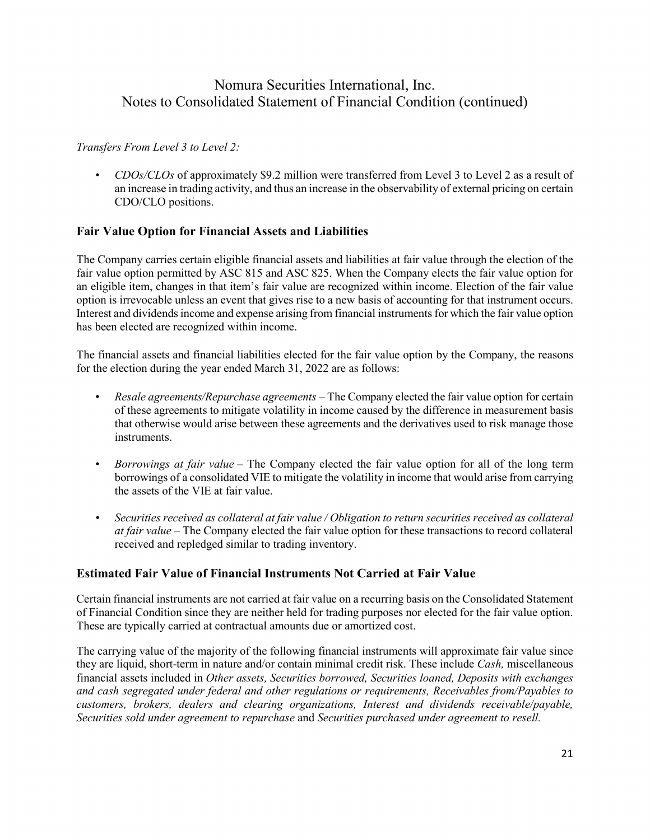### *Transfers From Level 3 to Level 2:*

• *CDOs/CLOs* of approximately \$9.2 million were transferred from Level 3 to Level 2 as a result of an increase in trading activity, and thus an increase in the observability of external pricing on certain CDO/CLO positions.

### **Fair Value Option for Financial Assets and Liabilities**

The Company carries certain eligible financial assets and liabilities at fair value through the election of the fair value option permitted by ASC 815 and ASC 825. When the Company elects the fair value option for an eligible item, changes in that item's fair value are recognized within income. Election of the fair value option is irrevocable unless an event that gives rise to a new basis of accounting for that instrument occurs. Interest and dividends income and expense arising from financial instruments for which the fair value option has been elected are recognized within income.

The financial assets and financial liabilities elected for the fair value option by the Company, the reasons for the election during the year ended March 31, 2022 are as follows:

- *Resale agreements/Repurchase agreements –* The Company elected the fair value option for certain of these agreements to mitigate volatility in income caused by the difference in measurement basis that otherwise would arise between these agreements and the derivatives used to risk manage those instruments.
- *Borrowings at fair value* The Company elected the fair value option for all of the long term borrowings of a consolidated VIE to mitigate the volatility in income that would arise from carrying the assets of the VIE at fair value.
- *Securities received as collateral at fair value / Obligation to return securities received as collateral at fair value* – The Company elected the fair value option for these transactions to record collateral received and repledged similar to trading inventory.

### **Estimated Fair Value of Financial Instruments Not Carried at Fair Value**

Certain financial instruments are not carried at fair value on a recurring basis on the Consolidated Statement of Financial Condition since they are neither held for trading purposes nor elected for the fair value option. These are typically carried at contractual amounts due or amortized cost.

The carrying value of the majority of the following financial instruments will approximate fair value since they are liquid, short-term in nature and/or contain minimal credit risk. These include *Cash,* miscellaneous financial assets included in *Other assets, Securities borrowed, Securities loaned, Deposits with exchanges and cash segregated under federal and other regulations or requirements, Receivables from/Payables to customers, brokers, dealers and clearing organizations, Interest and dividends receivable/payable, Securities sold under agreement to repurchase* and *Securities purchased under agreement to resell.*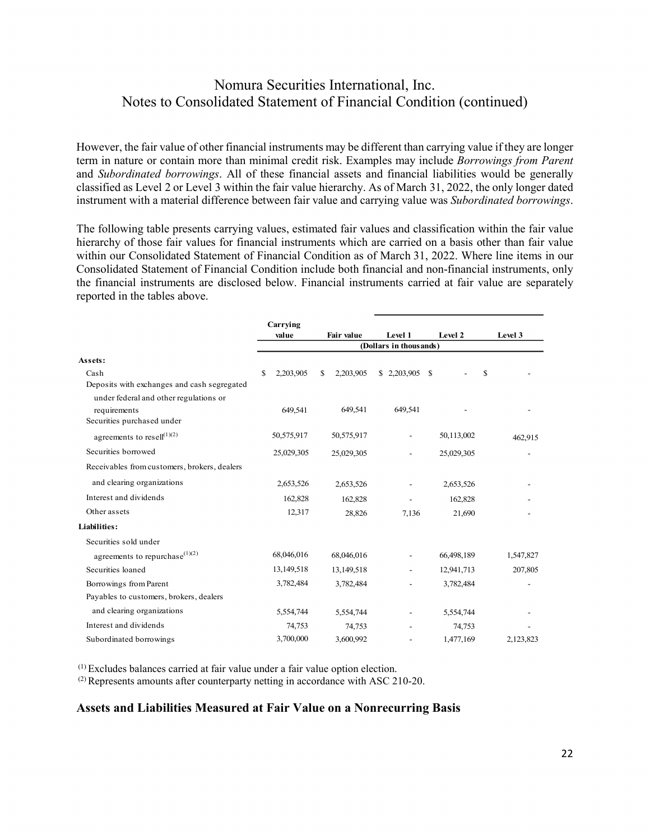However, the fair value of other financial instruments may be different than carrying value if they are longer term in nature or contain more than minimal credit risk. Examples may include *Borrowings from Parent* and *Subordinated borrowings*. All of these financial assets and financial liabilities would be generally classified as Level 2 or Level 3 within the fair value hierarchy. As of March 31, 2022, the only longer dated instrument with a material difference between fair value and carrying value was *Subordinated borrowings*.

The following table presents carrying values, estimated fair values and classification within the fair value hierarchy of those fair values for financial instruments which are carried on a basis other than fair value within our Consolidated Statement of Financial Condition as of March 31, 2022. Where line items in our Consolidated Statement of Financial Condition include both financial and non-financial instruments, only the financial instruments are disclosed below. Financial instruments carried at fair value are separately reported in the tables above.

|                                              | Carrying<br>value | <b>Fair value</b> | Level 1                  | Level 2    | Level 3   |
|----------------------------------------------|-------------------|-------------------|--------------------------|------------|-----------|
|                                              |                   |                   | (Dollars in thousands)   |            |           |
| Assets:                                      |                   |                   |                          |            |           |
| Cash                                         | 2,203,905<br>S    | S<br>2,203,905    | \$2,203,905              | -S         | \$        |
| Deposits with exchanges and cash segregated  |                   |                   |                          |            |           |
| under federal and other regulations or       |                   |                   |                          |            |           |
| requirements                                 | 649,541           | 649,541           | 649.541                  |            |           |
| Securities purchased under                   |                   |                   |                          |            |           |
| agreements to resell $^{(1)(2)}$             | 50,575,917        | 50,575,917        | $\overline{a}$           | 50,113,002 | 462.915   |
| Securities borrowed                          | 25,029,305        | 25,029,305        | $\overline{\phantom{0}}$ | 25,029,305 |           |
| Receivables from customers, brokers, dealers |                   |                   |                          |            |           |
| and clearing organizations                   | 2,653,526         | 2,653,526         |                          | 2,653,526  |           |
| Interest and dividends                       | 162,828           | 162,828           |                          | 162,828    |           |
| Other assets                                 | 12,317            | 28,826            | 7,136                    | 21,690     |           |
| Liabilities:                                 |                   |                   |                          |            |           |
| Securities sold under                        |                   |                   |                          |            |           |
| agreements to repurchase $^{(1)(2)}$         | 68,046,016        | 68,046,016        | $\overline{a}$           | 66,498,189 | 1,547,827 |
| Securities loaned                            | 13,149,518        | 13,149,518        |                          | 12,941,713 | 207,805   |
| Borrowings from Parent                       | 3,782,484         | 3,782,484         |                          | 3,782,484  |           |
| Payables to customers, brokers, dealers      |                   |                   |                          |            |           |
| and clearing organizations                   | 5,554,744         | 5,554,744         |                          | 5,554,744  |           |
| Interest and dividends                       | 74,753            | 74,753            |                          | 74,753     |           |
| Subordinated borrowings                      | 3,700,000         | 3,600,992         |                          | 1,477,169  | 2,123,823 |

(1) Excludes balances carried at fair value under a fair value option election.

 $^{(2)}$  Represents amounts after counterparty netting in accordance with ASC 210-20.

#### **Assets and Liabilities Measured at Fair Value on a Nonrecurring Basis**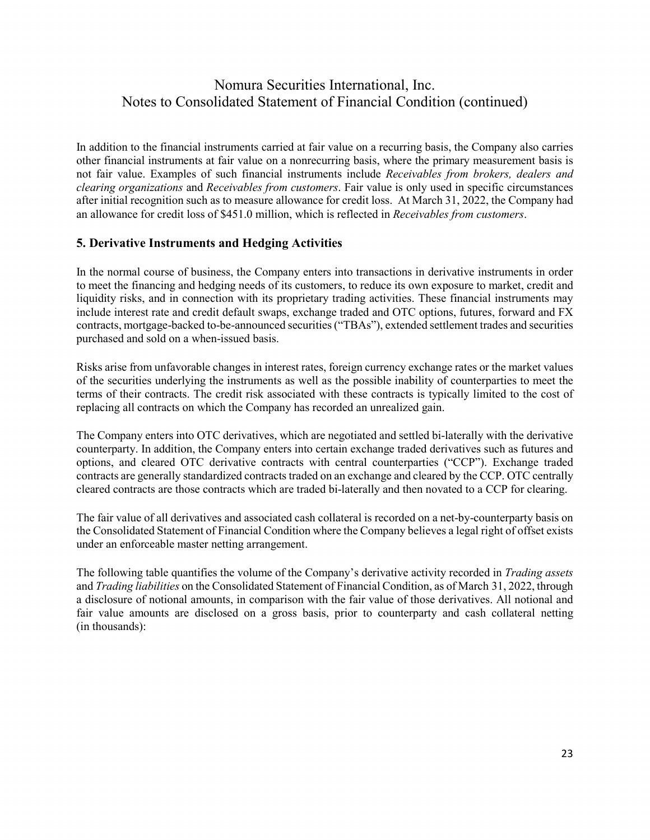In addition to the financial instruments carried at fair value on a recurring basis, the Company also carries other financial instruments at fair value on a nonrecurring basis, where the primary measurement basis is not fair value. Examples of such financial instruments include *Receivables from brokers, dealers and clearing organizations* and *Receivables from customers*. Fair value is only used in specific circumstances after initial recognition such as to measure allowance for credit loss. At March 31, 2022, the Company had an allowance for credit loss of \$451.0 million, which is reflected in *Receivables from customers*.

### **5. Derivative Instruments and Hedging Activities**

In the normal course of business, the Company enters into transactions in derivative instruments in order to meet the financing and hedging needs of its customers, to reduce its own exposure to market, credit and liquidity risks, and in connection with its proprietary trading activities. These financial instruments may include interest rate and credit default swaps, exchange traded and OTC options, futures, forward and FX contracts, mortgage-backed to-be-announced securities ("TBAs"), extended settlement trades and securities purchased and sold on a when-issued basis.

Risks arise from unfavorable changes in interest rates, foreign currency exchange rates or the market values of the securities underlying the instruments as well as the possible inability of counterparties to meet the terms of their contracts. The credit risk associated with these contracts is typically limited to the cost of replacing all contracts on which the Company has recorded an unrealized gain.

The Company enters into OTC derivatives, which are negotiated and settled bi-laterally with the derivative counterparty. In addition, the Company enters into certain exchange traded derivatives such as futures and options, and cleared OTC derivative contracts with central counterparties ("CCP"). Exchange traded contracts are generally standardized contracts traded on an exchange and cleared by the CCP. OTC centrally cleared contracts are those contracts which are traded bi-laterally and then novated to a CCP for clearing.

The fair value of all derivatives and associated cash collateral is recorded on a net-by-counterparty basis on the Consolidated Statement of Financial Condition where the Company believes a legal right of offset exists under an enforceable master netting arrangement.

The following table quantifies the volume of the Company's derivative activity recorded in *Trading assets* and *Trading liabilities* on the Consolidated Statement of Financial Condition, as of March 31, 2022, through a disclosure of notional amounts, in comparison with the fair value of those derivatives. All notional and fair value amounts are disclosed on a gross basis, prior to counterparty and cash collateral netting (in thousands):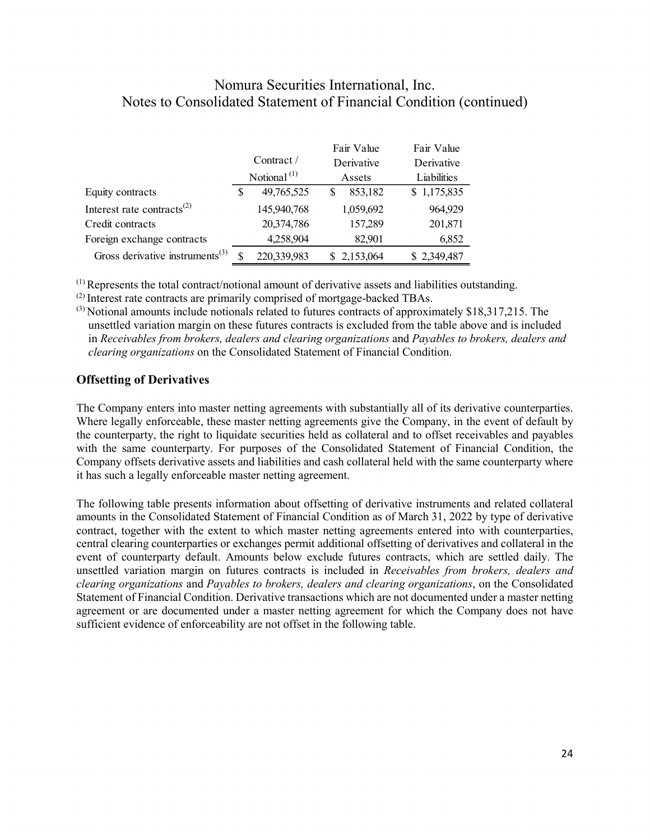|                                             |    |                     |   | Fair Value | Fair Value  |
|---------------------------------------------|----|---------------------|---|------------|-------------|
|                                             |    | Contract $\sqrt{ }$ |   | Derivative | Derivative  |
|                                             |    | Notional $(1)$      |   | Assets     | Liabilities |
| Equity contracts                            | S  | 49,765,525          | S | 853,182    | \$1,175,835 |
| Interest rate contracts <sup>(2)</sup>      |    | 145,940,768         |   | 1,059,692  | 964,929     |
| Credit contracts                            |    | 20,374,786          |   | 157,289    | 201,871     |
| Foreign exchange contracts                  |    | 4,258,904           |   | 82.901     | 6,852       |
| Gross derivative instruments <sup>(3)</sup> | \$ | 220,339,983         |   | 2,153,064  | \$2,349,487 |

 $(1)$  Represents the total contract/notional amount of derivative assets and liabilities outstanding.  $(2)$  Interest rate contracts are primarily comprised of mortgage-backed TBAs.

(3) Notional amounts include notionals related to futures contracts of approximately \$18,317,215. The unsettled variation margin on these futures contracts is excluded from the table above and is included in *Receivables from brokers, dealers and clearing organizations* and *Payables to brokers, dealers and clearing organizations* on the Consolidated Statement of Financial Condition.

### **Offsetting of Derivatives**

The Company enters into master netting agreements with substantially all of its derivative counterparties. Where legally enforceable, these master netting agreements give the Company, in the event of default by the counterparty, the right to liquidate securities held as collateral and to offset receivables and payables with the same counterparty. For purposes of the Consolidated Statement of Financial Condition, the Company offsets derivative assets and liabilities and cash collateral held with the same counterparty where it has such a legally enforceable master netting agreement.

The following table presents information about offsetting of derivative instruments and related collateral amounts in the Consolidated Statement of Financial Condition as of March 31, 2022 by type of derivative contract, together with the extent to which master netting agreements entered into with counterparties, central clearing counterparties or exchanges permit additional offsetting of derivatives and collateral in the event of counterparty default. Amounts below exclude futures contracts, which are settled daily. The unsettled variation margin on futures contracts is included in *Receivables from brokers, dealers and clearing organizations* and *Payables to brokers, dealers and clearing organizations*, on the Consolidated Statement of Financial Condition. Derivative transactions which are not documented under a master netting agreement or are documented under a master netting agreement for which the Company does not have sufficient evidence of enforceability are not offset in the following table.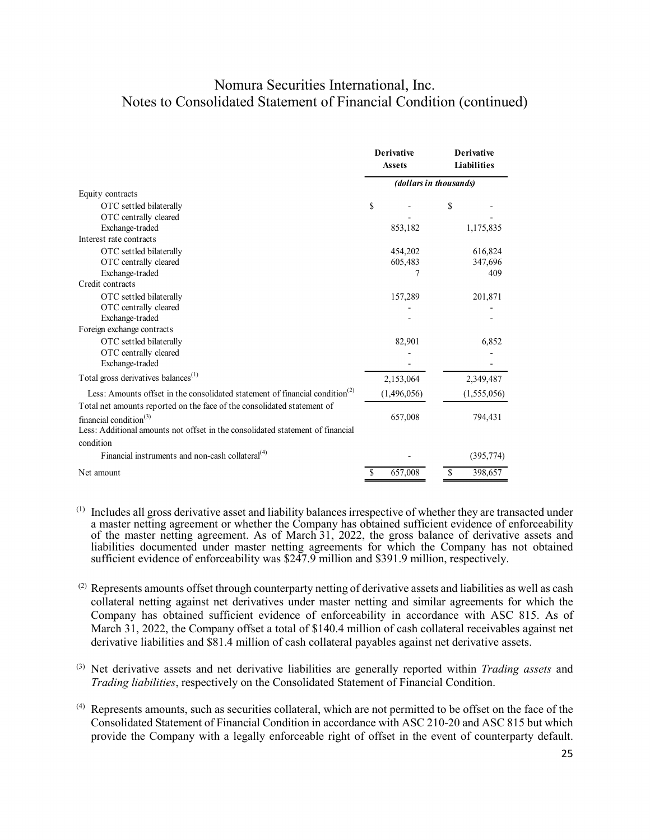|                                                                                          | <b>Derivative</b><br><b>Assets</b> |                        | <b>Derivative</b><br><b>Liabilities</b> |
|------------------------------------------------------------------------------------------|------------------------------------|------------------------|-----------------------------------------|
|                                                                                          |                                    | (dollars in thousands) |                                         |
| Equity contracts                                                                         |                                    |                        |                                         |
| OTC settled bilaterally                                                                  | \$                                 | \$                     |                                         |
| OTC centrally cleared                                                                    |                                    |                        |                                         |
| Exchange-traded                                                                          | 853,182                            |                        | 1,175,835                               |
| Interest rate contracts                                                                  |                                    |                        |                                         |
| OTC settled bilaterally                                                                  | 454,202                            |                        | 616,824                                 |
| OTC centrally cleared                                                                    | 605,483                            |                        | 347,696                                 |
| Exchange-traded                                                                          | 7                                  |                        | 409                                     |
| Credit contracts                                                                         |                                    |                        |                                         |
| OTC settled bilaterally                                                                  | 157,289                            |                        | 201,871                                 |
| OTC centrally cleared                                                                    |                                    |                        |                                         |
| Exchange-traded                                                                          |                                    |                        |                                         |
| Foreign exchange contracts                                                               |                                    |                        |                                         |
| OTC settled bilaterally                                                                  | 82,901                             |                        | 6,852                                   |
| OTC centrally cleared                                                                    |                                    |                        |                                         |
| Exchange-traded                                                                          |                                    |                        |                                         |
| Total gross derivatives balances <sup>(1)</sup>                                          | 2,153,064                          |                        | 2,349,487                               |
| Less: Amounts offset in the consolidated statement of financial condition <sup>(2)</sup> | (1,496,056)                        |                        | (1,555,056)                             |
| Total net amounts reported on the face of the consolidated statement of                  |                                    |                        |                                         |
| financial condition $(3)$                                                                | 657,008                            |                        | 794,431                                 |
| Less: Additional amounts not offset in the consolidated statement of financial           |                                    |                        |                                         |
| condition                                                                                |                                    |                        |                                         |
| Financial instruments and non-cash collateral <sup>(4)</sup>                             |                                    |                        | (395, 774)                              |
| Net amount                                                                               | 657,008<br>S                       | S                      | 398,657                                 |

- $(1)$  Includes all gross derivative asset and liability balances irrespective of whether they are transacted under a master netting agreement or whether the Company has obtained sufficient evidence of enforceability of the master netting agreement. As of March 31, 2022, the gross balance of derivative assets and liabilities documented under master netting agreements for which the Company has not obtained sufficient evidence of enforceability was \$247.9 million and \$391.9 million, respectively.
- $^{(2)}$  Represents amounts offset through counterparty netting of derivative assets and liabilities as well as cash collateral netting against net derivatives under master netting and similar agreements for which the Company has obtained sufficient evidence of enforceability in accordance with ASC 815. As of March 31, 2022, the Company offset a total of \$140.4 million of cash collateral receivables against net derivative liabilities and \$81.4 million of cash collateral payables against net derivative assets.
- (3) Net derivative assets and net derivative liabilities are generally reported within *Trading assets* and *Trading liabilities*, respectively on the Consolidated Statement of Financial Condition.
- (4) Represents amounts, such as securities collateral, which are not permitted to be offset on the face of the Consolidated Statement of Financial Condition in accordance with ASC 210-20 and ASC 815 but which provide the Company with a legally enforceable right of offset in the event of counterparty default.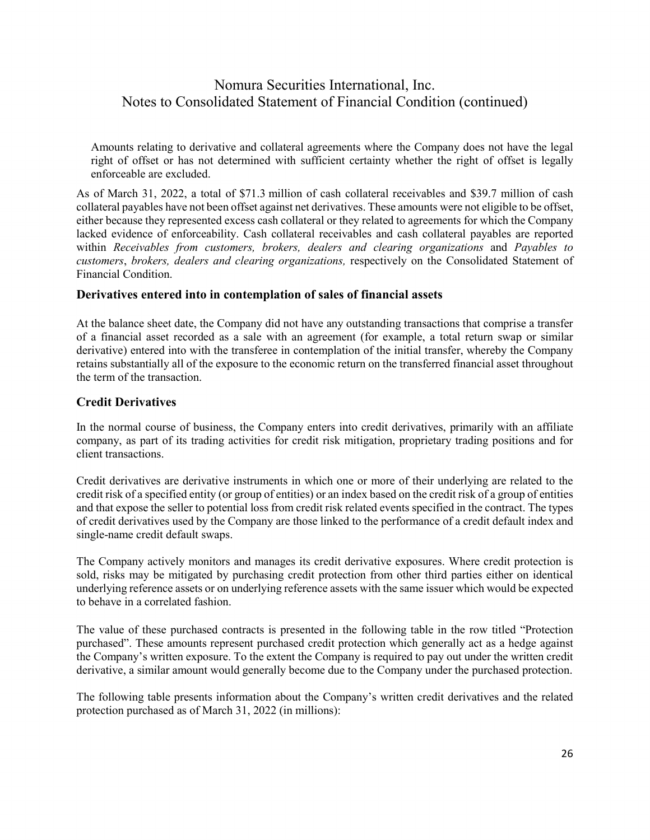Amounts relating to derivative and collateral agreements where the Company does not have the legal right of offset or has not determined with sufficient certainty whether the right of offset is legally enforceable are excluded.

As of March 31, 2022, a total of \$71.3 million of cash collateral receivables and \$39.7 million of cash collateral payables have not been offset against net derivatives. These amounts were not eligible to be offset, either because they represented excess cash collateral or they related to agreements for which the Company lacked evidence of enforceability. Cash collateral receivables and cash collateral payables are reported within *Receivables from customers, brokers, dealers and clearing organizations* and *Payables to customers*, *brokers, dealers and clearing organizations,* respectively on the Consolidated Statement of Financial Condition.

### **Derivatives entered into in contemplation of sales of financial assets**

At the balance sheet date, the Company did not have any outstanding transactions that comprise a transfer of a financial asset recorded as a sale with an agreement (for example, a total return swap or similar derivative) entered into with the transferee in contemplation of the initial transfer, whereby the Company retains substantially all of the exposure to the economic return on the transferred financial asset throughout the term of the transaction.

### **Credit Derivatives**

In the normal course of business, the Company enters into credit derivatives, primarily with an affiliate company, as part of its trading activities for credit risk mitigation, proprietary trading positions and for client transactions.

Credit derivatives are derivative instruments in which one or more of their underlying are related to the credit risk of a specified entity (or group of entities) or an index based on the credit risk of a group of entities and that expose the seller to potential loss from credit risk related events specified in the contract. The types of credit derivatives used by the Company are those linked to the performance of a credit default index and single-name credit default swaps.

The Company actively monitors and manages its credit derivative exposures. Where credit protection is sold, risks may be mitigated by purchasing credit protection from other third parties either on identical underlying reference assets or on underlying reference assets with the same issuer which would be expected to behave in a correlated fashion.

The value of these purchased contracts is presented in the following table in the row titled "Protection purchased". These amounts represent purchased credit protection which generally act as a hedge against the Company's written exposure. To the extent the Company is required to pay out under the written credit derivative, a similar amount would generally become due to the Company under the purchased protection.

The following table presents information about the Company's written credit derivatives and the related protection purchased as of March 31, 2022 (in millions):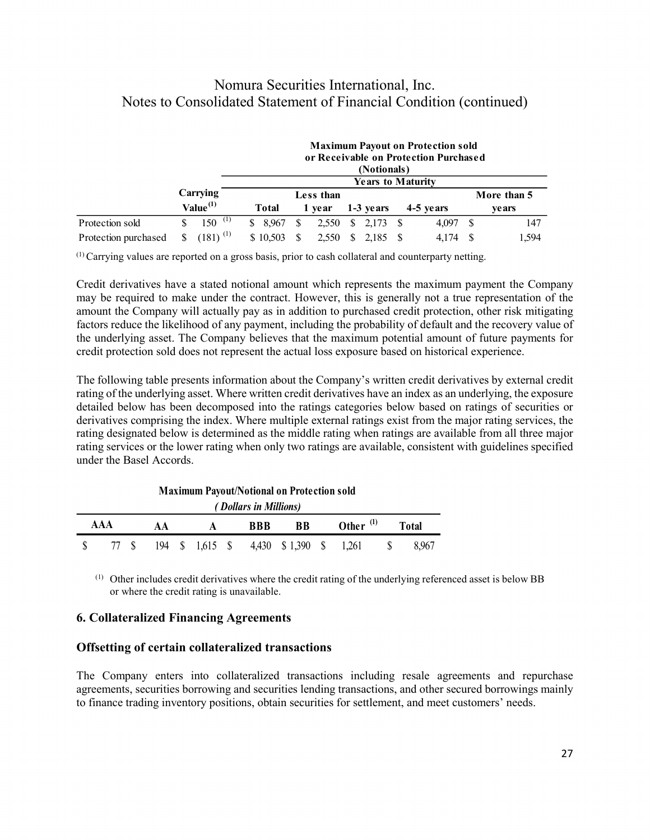|                      |   |                        |          |              |           |    | (Notionals)                | <b>Maximum Payout on Protection sold</b><br>or Receivable on Protection Purchased |             |
|----------------------|---|------------------------|----------|--------------|-----------|----|----------------------------|-----------------------------------------------------------------------------------|-------------|
|                      |   |                        |          |              |           |    | <b>Years to Maturity</b>   |                                                                                   |             |
|                      |   | Carrying               |          |              | Less than |    |                            |                                                                                   | More than 5 |
|                      |   | $Value^{(1)}$          | Total    |              | 1 vear    |    | 1-3 years                  | 4-5 years                                                                         | ve ars      |
| Protection sold      |   | $150^{(1)}$            | \$ 8.967 | S            | 2,550     |    | $\frac{1}{2}$ , 2, 173 \ S | 4.097                                                                             | 147         |
| Protection purchased | S | $(181)$ <sup>(1)</sup> | \$10,503 | <sup>S</sup> | 2.550     | S. | 2.185                      | 4.174                                                                             | .594        |

(1) Carrying values are reported on a gross basis, prior to cash collateral and counterparty netting.

Credit derivatives have a stated notional amount which represents the maximum payment the Company may be required to make under the contract. However, this is generally not a true representation of the amount the Company will actually pay as in addition to purchased credit protection, other risk mitigating factors reduce the likelihood of any payment, including the probability of default and the recovery value of the underlying asset. The Company believes that the maximum potential amount of future payments for credit protection sold does not represent the actual loss exposure based on historical experience.

The following table presents information about the Company's written credit derivatives by external credit rating of the underlying asset. Where written credit derivatives have an index as an underlying, the exposure detailed below has been decomposed into the ratings categories below based on ratings of securities or derivatives comprising the index. Where multiple external ratings exist from the major rating services, the rating designated below is determined as the middle rating when ratings are available from all three major rating services or the lower rating when only two ratings are available, consistent with guidelines specified under the Basel Accords.

| <i>(Dollars in Millions)</i> |  |    |  |   |  |                                               |           |  |                |              |              |
|------------------------------|--|----|--|---|--|-----------------------------------------------|-----------|--|----------------|--------------|--------------|
| AAA                          |  | AA |  | A |  | <b>BBB</b>                                    | <b>BB</b> |  | Other $^{(1)}$ |              | <b>Total</b> |
|                              |  |    |  |   |  | 77 \$ 194 \$ 1,615 \$ 4,430 \$ 1,390 \$ 1,261 |           |  |                | $\mathbb{S}$ | 8.967        |

**Maximum Payout/Notional on Protection sold** 

(1) Other includes credit derivatives where the credit rating of the underlying referenced asset is below BB or where the credit rating is unavailable.

### **6. Collateralized Financing Agreements**

#### **Offsetting of certain collateralized transactions**

The Company enters into collateralized transactions including resale agreements and repurchase agreements, securities borrowing and securities lending transactions, and other secured borrowings mainly to finance trading inventory positions, obtain securities for settlement, and meet customers' needs.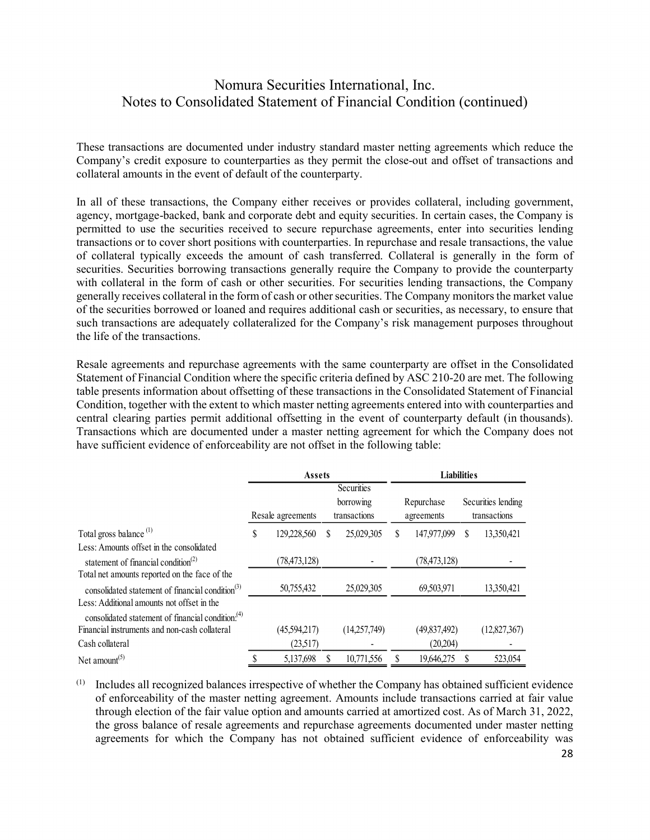These transactions are documented under industry standard master netting agreements which reduce the Company's credit exposure to counterparties as they permit the close-out and offset of transactions and collateral amounts in the event of default of the counterparty.

In all of these transactions, the Company either receives or provides collateral, including government, agency, mortgage-backed, bank and corporate debt and equity securities. In certain cases, the Company is permitted to use the securities received to secure repurchase agreements, enter into securities lending transactions or to cover short positions with counterparties. In repurchase and resale transactions, the value of collateral typically exceeds the amount of cash transferred. Collateral is generally in the form of securities. Securities borrowing transactions generally require the Company to provide the counterparty with collateral in the form of cash or other securities. For securities lending transactions, the Company generally receives collateral in the form of cash or other securities. The Company monitors the market value of the securities borrowed or loaned and requires additional cash or securities, as necessary, to ensure that such transactions are adequately collateralized for the Company's risk management purposes throughout the life of the transactions.

Resale agreements and repurchase agreements with the same counterparty are offset in the Consolidated Statement of Financial Condition where the specific criteria defined by ASC 210-20 are met. The following table presents information about offsetting of these transactions in the Consolidated Statement of Financial Condition, together with the extent to which master netting agreements entered into with counterparties and central clearing parties permit additional offsetting in the event of counterparty default (in thousands). Transactions which are documented under a master netting agreement for which the Company does not have sufficient evidence of enforceability are not offset in the following table:

|                                                                                             | <b>Assets</b> |                   |   |                                                | <b>Liabilities</b> |                          |   |                                    |
|---------------------------------------------------------------------------------------------|---------------|-------------------|---|------------------------------------------------|--------------------|--------------------------|---|------------------------------------|
|                                                                                             |               | Resale agreements |   | <b>Securities</b><br>borrowing<br>transactions |                    | Repurchase<br>agreements |   | Securities lending<br>transactions |
| Total gross balance <sup>(1)</sup>                                                          | \$            | 129,228,560       | S | 25,029,305                                     | S                  | 147,977,099              | S | 13,350,421                         |
| Less: Amounts offset in the consolidated<br>statement of financial condition <sup>(2)</sup> |               | (78, 473, 128)    |   |                                                |                    | (78, 473, 128)           |   |                                    |
| Total net amounts reported on the face of the                                               |               |                   |   |                                                |                    |                          |   |                                    |
| consolidated statement of financial condition $(3)$                                         |               | 50,755,432        |   | 25,029,305                                     |                    | 69,503,971               |   | 13,350,421                         |
| Less: Additional amounts not offset in the                                                  |               |                   |   |                                                |                    |                          |   |                                    |
| consolidated statement of financial condition. <sup>(4)</sup>                               |               |                   |   |                                                |                    |                          |   |                                    |
| Financial instruments and non-cash collateral<br>Cash collateral                            |               | (45,594,217)      |   | (14,257,749)                                   |                    | (49,837,492)             |   | (12,827,367)                       |
|                                                                                             |               | (23,517)          |   |                                                |                    | (20,204)                 |   |                                    |
| Net amount <sup><math>(5)</math></sup>                                                      |               | 5,137,698         |   | 10.771.556                                     |                    | 19.646.275               |   | 523,054                            |

(1) Includes all recognized balances irrespective of whether the Company has obtained sufficient evidence of enforceability of the master netting agreement. Amounts include transactions carried at fair value through election of the fair value option and amounts carried at amortized cost. As of March 31, 2022, the gross balance of resale agreements and repurchase agreements documented under master netting agreements for which the Company has not obtained sufficient evidence of enforceability was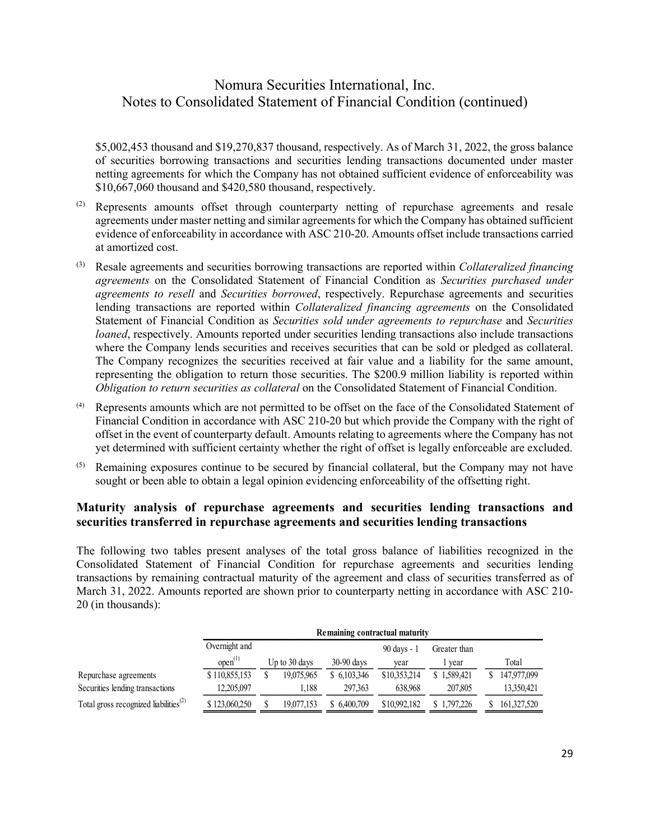\$5,002,453 thousand and \$19,270,837 thousand, respectively. As of March 31, 2022, the gross balance of securities borrowing transactions and securities lending transactions documented under master netting agreements for which the Company has not obtained sufficient evidence of enforceability was \$10,667,060 thousand and \$420,580 thousand, respectively.

- $(2)$  Represents amounts offset through counterparty netting of repurchase agreements and resale agreements under master netting and similar agreements for which the Company has obtained sufficient evidence of enforceability in accordance with ASC 210-20. Amounts offset include transactions carried at amortized cost.
- (3) Resale agreements and securities borrowing transactions are reported within *Collateralized financing agreements* on the Consolidated Statement of Financial Condition as *Securities purchased under agreements to resell* and *Securities borrowed*, respectively. Repurchase agreements and securities lending transactions are reported within *Collateralized financing agreements* on the Consolidated Statement of Financial Condition as *Securities sold under agreements to repurchase* and *Securities loaned*, respectively. Amounts reported under securities lending transactions also include transactions where the Company lends securities and receives securities that can be sold or pledged as collateral. The Company recognizes the securities received at fair value and a liability for the same amount, representing the obligation to return those securities. The \$200.9 million liability is reported within *Obligation to return securities as collateral* on the Consolidated Statement of Financial Condition.
- (4) Represents amounts which are not permitted to be offset on the face of the Consolidated Statement of Financial Condition in accordance with ASC 210-20 but which provide the Company with the right of offset in the event of counterparty default. Amounts relating to agreements where the Company has not yet determined with sufficient certainty whether the right of offset is legally enforceable are excluded.
- $(5)$  Remaining exposures continue to be secured by financial collateral, but the Company may not have sought or been able to obtain a legal opinion evidencing enforceability of the offsetting right.

### **Maturity analysis of repurchase agreements and securities lending transactions and securities transferred in repurchase agreements and securities lending transactions**

The following two tables present analyses of the total gross balance of liabilities recognized in the Consolidated Statement of Financial Condition for repurchase agreements and securities lending transactions by remaining contractual maturity of the agreement and class of securities transferred as of March 31, 2022. Amounts reported are shown prior to counterparty netting in accordance with ASC 210- 20 (in thousands):

|                                                                |               | Remaining contractual maturity |               |              |              |              |  |             |  |  |  |
|----------------------------------------------------------------|---------------|--------------------------------|---------------|--------------|--------------|--------------|--|-------------|--|--|--|
|                                                                | Overnight and |                                |               |              | 90 days - 1  | Greater than |  |             |  |  |  |
|                                                                | $open^{(1)}$  |                                | Up to 30 days | $30-90$ days | vear         | vear         |  | Total       |  |  |  |
| Repurchase agreements                                          | \$110,855,153 |                                | 19.075.965    | \$ 6,103,346 | \$10,353,214 | \$1,589,421  |  | 147,977,099 |  |  |  |
| Securities lending transactions                                | 12,205,097    |                                | 1.188         | 297.363      | 638.968      | 207,805      |  | 13,350,421  |  |  |  |
| Total gross recognized liabilities <sup><math>(2)</math></sup> | \$123,060,250 |                                | 19.077.153    | \$6.400.709  | \$10,992,182 | \$1,797,226  |  | 161,327,520 |  |  |  |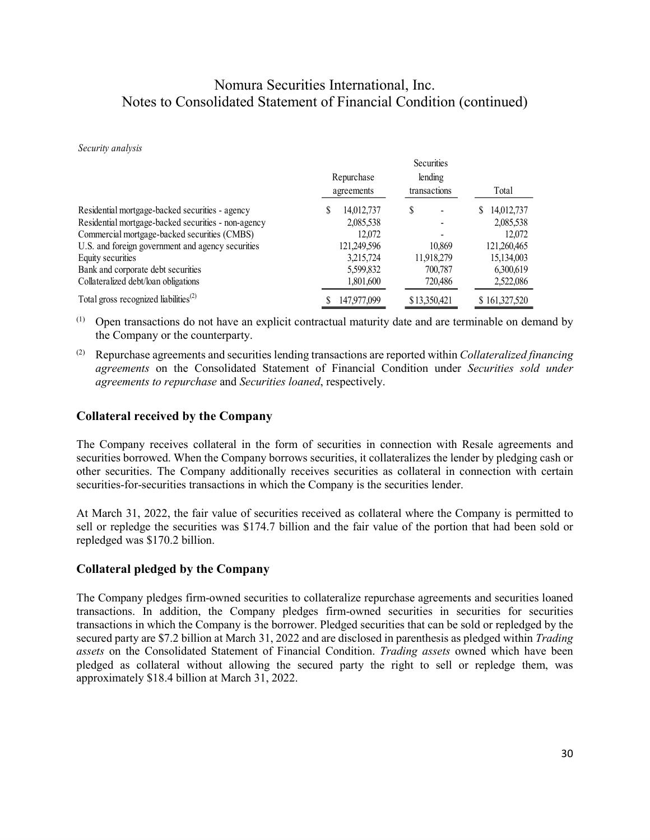Securities

#### *Security analysis*

|                                                                |             | securities   |               |
|----------------------------------------------------------------|-------------|--------------|---------------|
|                                                                | Repurchase  | lending      |               |
|                                                                | agreements  | transactions | Total         |
| Residential mortgage-backed securities - agency                | 14,012,737  | \$           | \$14,012,737  |
| Residential mortgage-backed securities - non-agency            | 2,085,538   |              | 2,085,538     |
| Commercial mortgage-backed securities (CMBS)                   | 12,072      |              | 12,072        |
| U.S. and foreign government and agency securities              | 121,249,596 | 10.869       | 121,260,465   |
| Equity securities                                              | 3,215,724   | 11,918,279   | 15,134,003    |
| Bank and corporate debt securities                             | 5,599,832   | 700,787      | 6,300,619     |
| Collateralized debt/loan obligations                           | 1,801,600   | 720,486      | 2,522,086     |
| Total gross recognized liabilities <sup><math>(2)</math></sup> | 147,977,099 | \$13,350,421 | \$161,327,520 |
|                                                                |             |              |               |

- (1) Open transactions do not have an explicit contractual maturity date and are terminable on demand by the Company or the counterparty.
- (2) Repurchase agreements and securities lending transactions are reported within *Collateralized financing agreements* on the Consolidated Statement of Financial Condition under *Securities sold under agreements to repurchase* and *Securities loaned*, respectively.

### **Collateral received by the Company**

The Company receives collateral in the form of securities in connection with Resale agreements and securities borrowed. When the Company borrows securities, it collateralizes the lender by pledging cash or other securities. The Company additionally receives securities as collateral in connection with certain securities-for-securities transactions in which the Company is the securities lender.

At March 31, 2022, the fair value of securities received as collateral where the Company is permitted to sell or repledge the securities was \$174.7 billion and the fair value of the portion that had been sold or repledged was \$170.2 billion.

#### **Collateral pledged by the Company**

The Company pledges firm-owned securities to collateralize repurchase agreements and securities loaned transactions. In addition, the Company pledges firm-owned securities in securities for securities transactions in which the Company is the borrower. Pledged securities that can be sold or repledged by the secured party are \$7.2 billion at March 31, 2022 and are disclosed in parenthesis as pledged within *Trading assets* on the Consolidated Statement of Financial Condition. *Trading assets* owned which have been pledged as collateral without allowing the secured party the right to sell or repledge them, was approximately \$18.4 billion at March 31, 2022.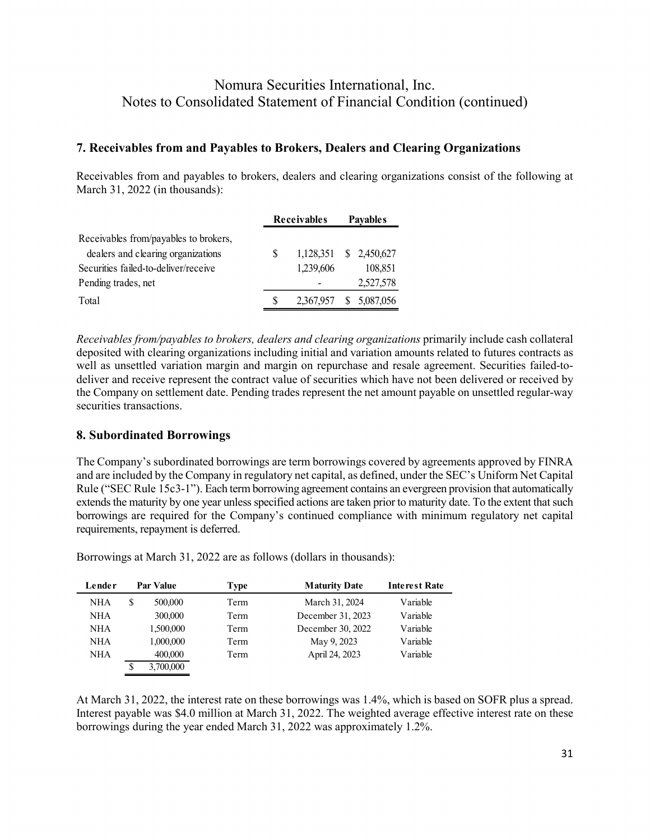### **7. Receivables from and Payables to Brokers, Dealers and Clearing Organizations**

Receivables from and payables to brokers, dealers and clearing organizations consist of the following at March 31, 2022 (in thousands):

|                                       | Receivables |                        | <b>Pavables</b> |           |  |
|---------------------------------------|-------------|------------------------|-----------------|-----------|--|
| Receivables from/payables to brokers, |             |                        |                 |           |  |
| dealers and clearing organizations    | S           | 1,128,351 \$ 2,450,627 |                 |           |  |
| Securities failed-to-deliver/receive  |             | 1,239,606              |                 | 108,851   |  |
| Pending trades, net                   |             |                        |                 | 2,527,578 |  |
| Total                                 |             | 2,367,957 \$ 5,087,056 |                 |           |  |

*Receivables from/payables to brokers, dealers and clearing organizations* primarily include cash collateral deposited with clearing organizations including initial and variation amounts related to futures contracts as well as unsettled variation margin and margin on repurchase and resale agreement. Securities failed-todeliver and receive represent the contract value of securities which have not been delivered or received by the Company on settlement date. Pending trades represent the net amount payable on unsettled regular-way securities transactions.

### **8. Subordinated Borrowings**

The Company's subordinated borrowings are term borrowings covered by agreements approved by FINRA and are included by the Company in regulatory net capital, as defined, under the SEC's Uniform Net Capital Rule ("SEC Rule 15c3-1"). Each term borrowing agreement contains an evergreen provision that automatically extends the maturity by one year unless specified actions are taken prior to maturity date. To the extent that such borrowings are required for the Company's continued compliance with minimum regulatory net capital requirements, repayment is deferred.

Borrowings at March 31, 2022 are as follows (dollars in thousands):

| Lender     | <b>Par Value</b> | Type | <b>Maturity Date</b> | <b>Interest Rate</b> |
|------------|------------------|------|----------------------|----------------------|
| <b>NHA</b> | \$<br>500,000    | Term | March 31, 2024       | Variable             |
| <b>NHA</b> | 300,000          | Term | December 31, 2023    | Variable             |
| <b>NHA</b> | 1,500,000        | Term | December 30, 2022    | Variable             |
| <b>NHA</b> | 1,000,000        | Term | May 9, 2023          | Variable             |
| NHA        | 400,000          | Term | April 24, 2023       | Variable             |
|            | \$<br>3,700,000  |      |                      |                      |

At March 31, 2022, the interest rate on these borrowings was 1.4%, which is based on SOFR plus a spread. Interest payable was \$4.0 million at March 31, 2022. The weighted average effective interest rate on these borrowings during the year ended March 31, 2022 was approximately 1.2%.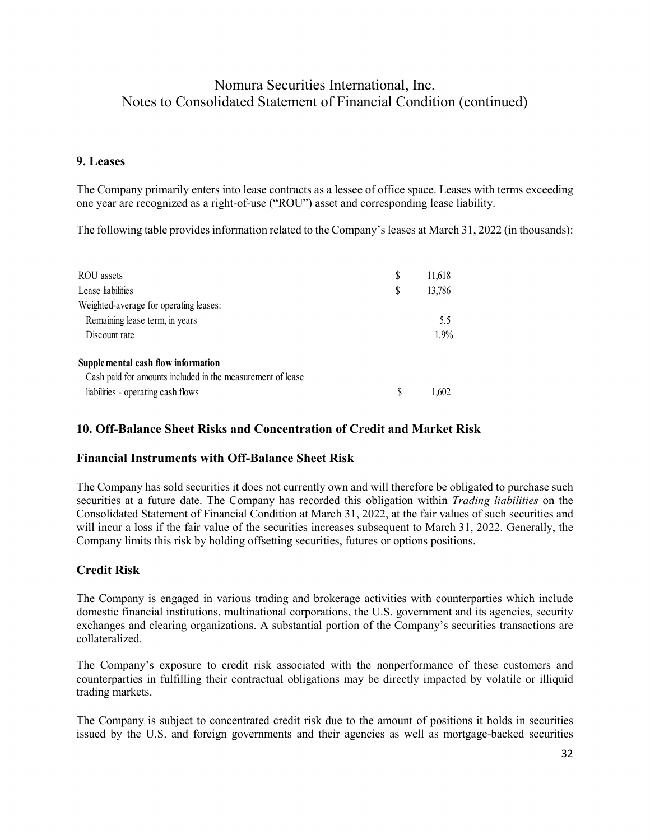### **9. Leases**

The Company primarily enters into lease contracts as a lessee of office space. Leases with terms exceeding one year are recognized as a right-of-use ("ROU") asset and corresponding lease liability.

The following table provides information related to the Company's leases at March 31, 2022 (in thousands):

| ROU assets                                                 | S | 11,618  |
|------------------------------------------------------------|---|---------|
| Lease liabilities                                          | S | 13,786  |
| Weighted-average for operating leases:                     |   |         |
| Remaining lease term, in years                             |   | 5.5     |
| Discount rate                                              |   | $1.9\%$ |
| Supplemental cash flow information                         |   |         |
| Cash paid for amounts included in the measurement of lease |   |         |
| liabilities - operating cash flows                         |   | 1.602   |

### **10. Off-Balance Sheet Risks and Concentration of Credit and Market Risk**

### **Financial Instruments with Off-Balance Sheet Risk**

The Company has sold securities it does not currently own and will therefore be obligated to purchase such securities at a future date. The Company has recorded this obligation within *Trading liabilities* on the Consolidated Statement of Financial Condition at March 31, 2022, at the fair values of such securities and will incur a loss if the fair value of the securities increases subsequent to March 31, 2022. Generally, the Company limits this risk by holding offsetting securities, futures or options positions.

### **Credit Risk**

The Company is engaged in various trading and brokerage activities with counterparties which include domestic financial institutions, multinational corporations, the U.S. government and its agencies, security exchanges and clearing organizations. A substantial portion of the Company's securities transactions are collateralized.

The Company's exposure to credit risk associated with the nonperformance of these customers and counterparties in fulfilling their contractual obligations may be directly impacted by volatile or illiquid trading markets.

The Company is subject to concentrated credit risk due to the amount of positions it holds in securities issued by the U.S. and foreign governments and their agencies as well as mortgage-backed securities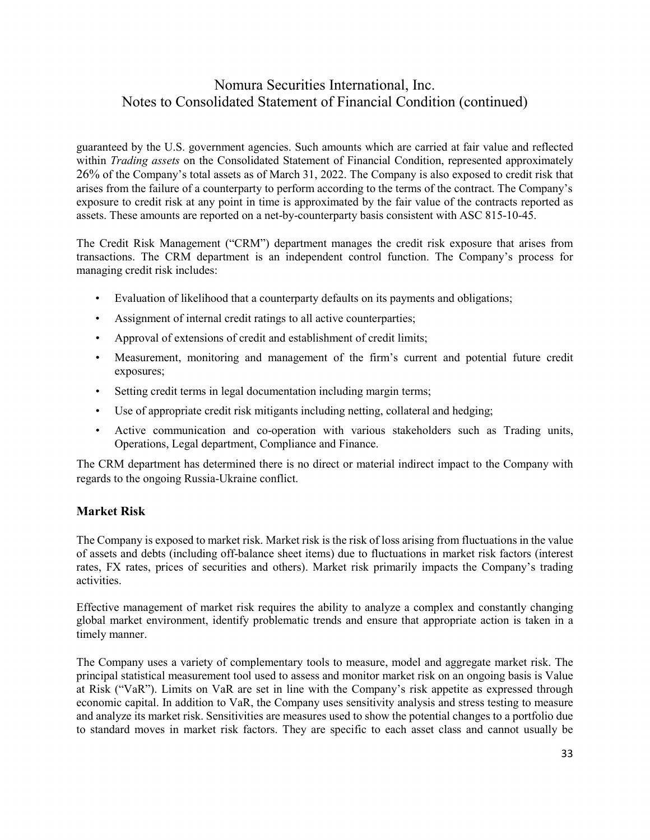guaranteed by the U.S. government agencies. Such amounts which are carried at fair value and reflected within *Trading assets* on the Consolidated Statement of Financial Condition, represented approximately 26% of the Company's total assets as of March 31, 2022. The Company is also exposed to credit risk that arises from the failure of a counterparty to perform according to the terms of the contract. The Company's exposure to credit risk at any point in time is approximated by the fair value of the contracts reported as assets. These amounts are reported on a net-by-counterparty basis consistent with ASC 815-10-45.

The Credit Risk Management ("CRM") department manages the credit risk exposure that arises from transactions. The CRM department is an independent control function. The Company's process for managing credit risk includes:

- Evaluation of likelihood that a counterparty defaults on its payments and obligations;
- Assignment of internal credit ratings to all active counterparties;
- Approval of extensions of credit and establishment of credit limits;
- Measurement, monitoring and management of the firm's current and potential future credit exposures;
- Setting credit terms in legal documentation including margin terms;
- Use of appropriate credit risk mitigants including netting, collateral and hedging;
- Active communication and co-operation with various stakeholders such as Trading units, Operations, Legal department, Compliance and Finance.

The CRM department has determined there is no direct or material indirect impact to the Company with regards to the ongoing Russia-Ukraine conflict.

### **Market Risk**

The Company is exposed to market risk. Market risk is the risk of loss arising from fluctuations in the value of assets and debts (including off-balance sheet items) due to fluctuations in market risk factors (interest rates, FX rates, prices of securities and others). Market risk primarily impacts the Company's trading activities.

Effective management of market risk requires the ability to analyze a complex and constantly changing global market environment, identify problematic trends and ensure that appropriate action is taken in a timely manner.

The Company uses a variety of complementary tools to measure, model and aggregate market risk. The principal statistical measurement tool used to assess and monitor market risk on an ongoing basis is Value at Risk ("VaR"). Limits on VaR are set in line with the Company's risk appetite as expressed through economic capital. In addition to VaR, the Company uses sensitivity analysis and stress testing to measure and analyze its market risk. Sensitivities are measures used to show the potential changes to a portfolio due to standard moves in market risk factors. They are specific to each asset class and cannot usually be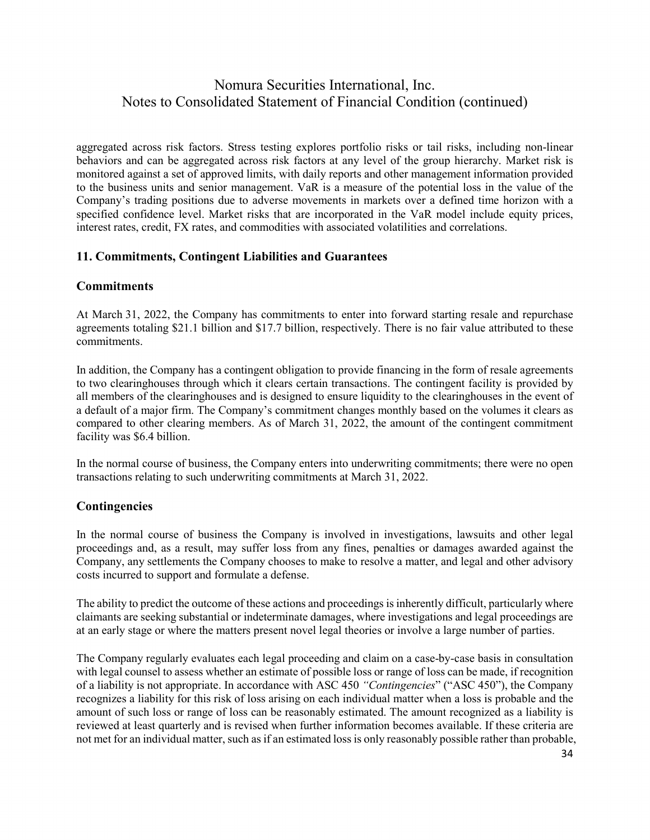aggregated across risk factors. Stress testing explores portfolio risks or tail risks, including non-linear behaviors and can be aggregated across risk factors at any level of the group hierarchy. Market risk is monitored against a set of approved limits, with daily reports and other management information provided to the business units and senior management. VaR is a measure of the potential loss in the value of the Company's trading positions due to adverse movements in markets over a defined time horizon with a specified confidence level. Market risks that are incorporated in the VaR model include equity prices, interest rates, credit, FX rates, and commodities with associated volatilities and correlations.

### **11. Commitments, Contingent Liabilities and Guarantees**

### **Commitments**

At March 31, 2022, the Company has commitments to enter into forward starting resale and repurchase agreements totaling \$21.1 billion and \$17.7 billion, respectively. There is no fair value attributed to these commitments.

In addition, the Company has a contingent obligation to provide financing in the form of resale agreements to two clearinghouses through which it clears certain transactions. The contingent facility is provided by all members of the clearinghouses and is designed to ensure liquidity to the clearinghouses in the event of a default of a major firm. The Company's commitment changes monthly based on the volumes it clears as compared to other clearing members. As of March 31, 2022, the amount of the contingent commitment facility was \$6.4 billion.

In the normal course of business, the Company enters into underwriting commitments; there were no open transactions relating to such underwriting commitments at March 31, 2022.

### **Contingencies**

In the normal course of business the Company is involved in investigations, lawsuits and other legal proceedings and, as a result, may suffer loss from any fines, penalties or damages awarded against the Company, any settlements the Company chooses to make to resolve a matter, and legal and other advisory costs incurred to support and formulate a defense.

The ability to predict the outcome of these actions and proceedings is inherently difficult, particularly where claimants are seeking substantial or indeterminate damages, where investigations and legal proceedings are at an early stage or where the matters present novel legal theories or involve a large number of parties.

The Company regularly evaluates each legal proceeding and claim on a case-by-case basis in consultation with legal counsel to assess whether an estimate of possible loss or range of loss can be made, if recognition of a liability is not appropriate. In accordance with ASC 450 *"Contingencies*" ("ASC 450"), the Company recognizes a liability for this risk of loss arising on each individual matter when a loss is probable and the amount of such loss or range of loss can be reasonably estimated. The amount recognized as a liability is reviewed at least quarterly and is revised when further information becomes available. If these criteria are not met for an individual matter, such as if an estimated loss is only reasonably possible rather than probable,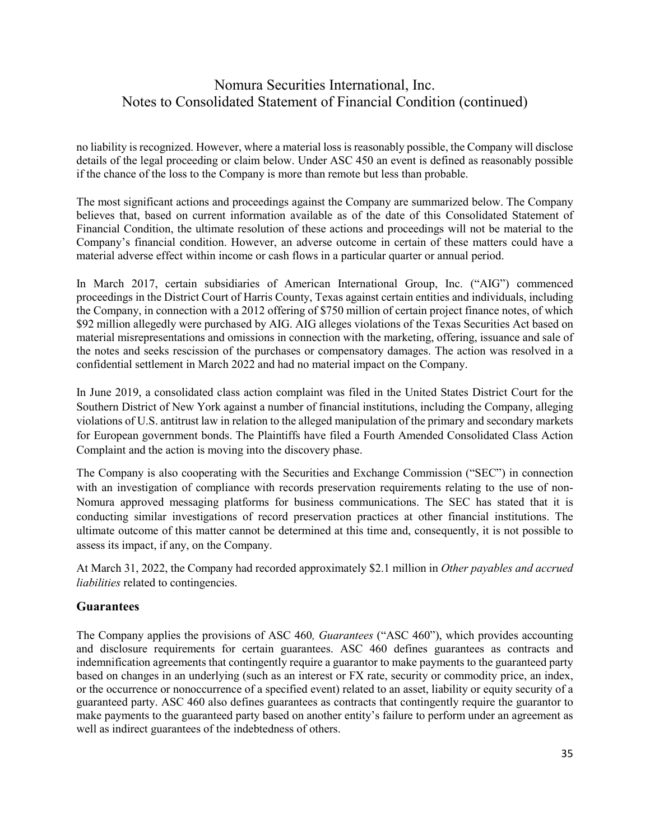no liability is recognized. However, where a material loss is reasonably possible, the Company will disclose details of the legal proceeding or claim below. Under ASC 450 an event is defined as reasonably possible if the chance of the loss to the Company is more than remote but less than probable.

The most significant actions and proceedings against the Company are summarized below. The Company believes that, based on current information available as of the date of this Consolidated Statement of Financial Condition, the ultimate resolution of these actions and proceedings will not be material to the Company's financial condition. However, an adverse outcome in certain of these matters could have a material adverse effect within income or cash flows in a particular quarter or annual period.

In March 2017, certain subsidiaries of American International Group, Inc. ("AIG") commenced proceedings in the District Court of Harris County, Texas against certain entities and individuals, including the Company, in connection with a 2012 offering of \$750 million of certain project finance notes, of which \$92 million allegedly were purchased by AIG. AIG alleges violations of the Texas Securities Act based on material misrepresentations and omissions in connection with the marketing, offering, issuance and sale of the notes and seeks rescission of the purchases or compensatory damages. The action was resolved in a confidential settlement in March 2022 and had no material impact on the Company.

In June 2019, a consolidated class action complaint was filed in the United States District Court for the Southern District of New York against a number of financial institutions, including the Company, alleging violations of U.S. antitrust law in relation to the alleged manipulation of the primary and secondary markets for European government bonds. The Plaintiffs have filed a Fourth Amended Consolidated Class Action Complaint and the action is moving into the discovery phase.

The Company is also cooperating with the Securities and Exchange Commission ("SEC") in connection with an investigation of compliance with records preservation requirements relating to the use of non-Nomura approved messaging platforms for business communications. The SEC has stated that it is conducting similar investigations of record preservation practices at other financial institutions. The ultimate outcome of this matter cannot be determined at this time and, consequently, it is not possible to assess its impact, if any, on the Company.

At March 31, 2022, the Company had recorded approximately \$2.1 million in *Other payables and accrued liabilities* related to contingencies.

### **Guarantees**

The Company applies the provisions of ASC 460*, Guarantees* ("ASC 460"), which provides accounting and disclosure requirements for certain guarantees. ASC 460 defines guarantees as contracts and indemnification agreements that contingently require a guarantor to make payments to the guaranteed party based on changes in an underlying (such as an interest or FX rate, security or commodity price, an index, or the occurrence or nonoccurrence of a specified event) related to an asset, liability or equity security of a guaranteed party. ASC 460 also defines guarantees as contracts that contingently require the guarantor to make payments to the guaranteed party based on another entity's failure to perform under an agreement as well as indirect guarantees of the indebtedness of others.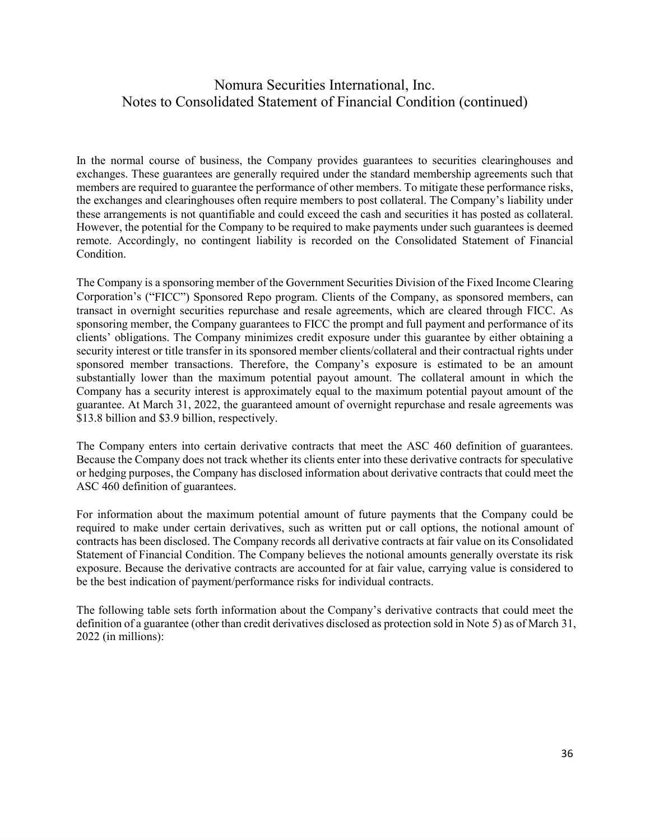In the normal course of business, the Company provides guarantees to securities clearinghouses and exchanges. These guarantees are generally required under the standard membership agreements such that members are required to guarantee the performance of other members. To mitigate these performance risks, the exchanges and clearinghouses often require members to post collateral. The Company's liability under these arrangements is not quantifiable and could exceed the cash and securities it has posted as collateral. However, the potential for the Company to be required to make payments under such guarantees is deemed remote. Accordingly, no contingent liability is recorded on the Consolidated Statement of Financial Condition.

The Company is a sponsoring member of the Government Securities Division of the Fixed Income Clearing Corporation's ("FICC") Sponsored Repo program. Clients of the Company, as sponsored members, can transact in overnight securities repurchase and resale agreements, which are cleared through FICC. As sponsoring member, the Company guarantees to FICC the prompt and full payment and performance of its clients' obligations. The Company minimizes credit exposure under this guarantee by either obtaining a security interest or title transfer in its sponsored member clients/collateral and their contractual rights under sponsored member transactions. Therefore, the Company's exposure is estimated to be an amount substantially lower than the maximum potential payout amount. The collateral amount in which the Company has a security interest is approximately equal to the maximum potential payout amount of the guarantee. At March 31, 2022, the guaranteed amount of overnight repurchase and resale agreements was \$13.8 billion and \$3.9 billion, respectively.

The Company enters into certain derivative contracts that meet the ASC 460 definition of guarantees. Because the Company does not track whether its clients enter into these derivative contracts for speculative or hedging purposes, the Company has disclosed information about derivative contracts that could meet the ASC 460 definition of guarantees.

For information about the maximum potential amount of future payments that the Company could be required to make under certain derivatives, such as written put or call options, the notional amount of contracts has been disclosed. The Company records all derivative contracts at fair value on its Consolidated Statement of Financial Condition. The Company believes the notional amounts generally overstate its risk exposure. Because the derivative contracts are accounted for at fair value, carrying value is considered to be the best indication of payment/performance risks for individual contracts.

The following table sets forth information about the Company's derivative contracts that could meet the definition of a guarantee (other than credit derivatives disclosed as protection sold in Note 5) as of March 31, 2022 (in millions):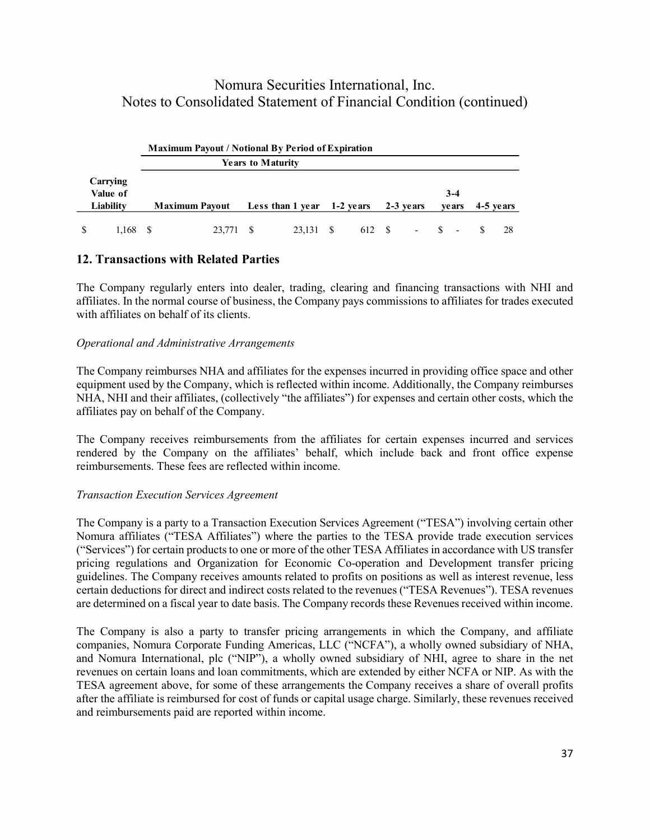|           | <b>Maximum Payout / Notional By Period of Expiration</b> |                          |           |                          |          |                          |           |     |
|-----------|----------------------------------------------------------|--------------------------|-----------|--------------------------|----------|--------------------------|-----------|-----|
|           |                                                          | <b>Years to Maturity</b> |           |                          |          |                          |           |     |
| Carrying  |                                                          |                          |           |                          |          |                          |           |     |
| Value of  |                                                          |                          |           |                          |          | $3-4$                    |           |     |
| Liability | <b>Maximum Payout</b>                                    | Less than 1 year         | 1-2 vears | 2-3 years                |          | <b>ve ars</b>            | 4-5 years |     |
| 1.168     | 23,771                                                   | 23.131                   | 612 S     | $\overline{\phantom{a}}$ | <b>S</b> | $\overline{\phantom{a}}$ |           | -28 |

### **12. Transactions with Related Parties**

The Company regularly enters into dealer, trading, clearing and financing transactions with NHI and affiliates. In the normal course of business, the Company pays commissions to affiliates for trades executed with affiliates on behalf of its clients.

### *Operational and Administrative Arrangements*

The Company reimburses NHA and affiliates for the expenses incurred in providing office space and other equipment used by the Company, which is reflected within income. Additionally, the Company reimburses NHA, NHI and their affiliates, (collectively "the affiliates") for expenses and certain other costs, which the affiliates pay on behalf of the Company.

The Company receives reimbursements from the affiliates for certain expenses incurred and services rendered by the Company on the affiliates' behalf, which include back and front office expense reimbursements. These fees are reflected within income.

#### *Transaction Execution Services Agreement*

The Company is a party to a Transaction Execution Services Agreement ("TESA") involving certain other Nomura affiliates ("TESA Affiliates") where the parties to the TESA provide trade execution services ("Services") for certain products to one or more of the other TESA Affiliates in accordance with US transfer pricing regulations and Organization for Economic Co-operation and Development transfer pricing guidelines. The Company receives amounts related to profits on positions as well as interest revenue, less certain deductions for direct and indirect costs related to the revenues ("TESA Revenues"). TESA revenues are determined on a fiscal year to date basis. The Company records these Revenues received within income.

The Company is also a party to transfer pricing arrangements in which the Company, and affiliate companies, Nomura Corporate Funding Americas, LLC ("NCFA"), a wholly owned subsidiary of NHA, and Nomura International, plc ("NIP"), a wholly owned subsidiary of NHI, agree to share in the net revenues on certain loans and loan commitments, which are extended by either NCFA or NIP. As with the TESA agreement above, for some of these arrangements the Company receives a share of overall profits after the affiliate is reimbursed for cost of funds or capital usage charge. Similarly, these revenues received and reimbursements paid are reported within income.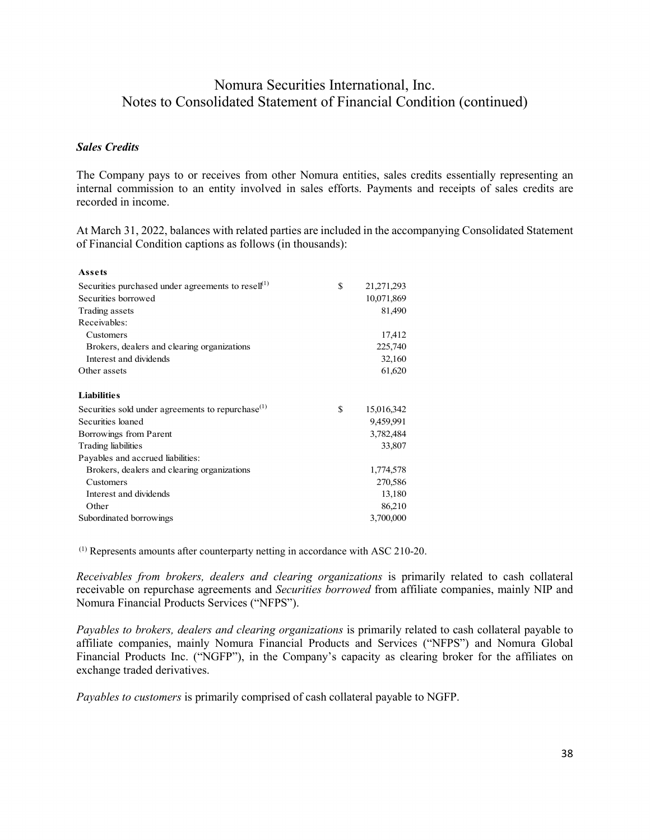#### *Sales Credits*

The Company pays to or receives from other Nomura entities, sales credits essentially representing an internal commission to an entity involved in sales efforts. Payments and receipts of sales credits are recorded in income.

At March 31, 2022, balances with related parties are included in the accompanying Consolidated Statement of Financial Condition captions as follows (in thousands):

| Assets                                                        |                  |
|---------------------------------------------------------------|------------------|
| Securities purchased under agreements to resell $(1)$         | \$<br>21,271,293 |
| Securities borrowed                                           | 10,071,869       |
| Trading assets                                                | 81,490           |
| Receivables:                                                  |                  |
| Customers                                                     | 17,412           |
| Brokers, dealers and clearing organizations                   | 225,740          |
| Interest and dividends                                        | 32,160           |
| Other assets                                                  | 61,620           |
| <b>Liabilities</b>                                            |                  |
| Securities sold under agreements to repurchase <sup>(1)</sup> | \$<br>15,016,342 |
| Securities loaned                                             | 9,459,991        |
| Borrowings from Parent                                        | 3,782,484        |
| Trading liabilities                                           | 33,807           |
| Payables and accrued liabilities:                             |                  |
| Brokers, dealers and clearing organizations                   | 1,774,578        |
| Customers                                                     | 270,586          |
| Interest and dividends                                        | 13,180           |
| Other                                                         | 86,210           |
| Subordinated borrowings                                       | 3,700,000        |

(1) Represents amounts after counterparty netting in accordance with ASC 210-20.

*Receivables from brokers, dealers and clearing organizations* is primarily related to cash collateral receivable on repurchase agreements and *Securities borrowed* from affiliate companies, mainly NIP and Nomura Financial Products Services ("NFPS").

*Payables to brokers, dealers and clearing organizations* is primarily related to cash collateral payable to affiliate companies, mainly Nomura Financial Products and Services ("NFPS") and Nomura Global Financial Products Inc. ("NGFP"), in the Company's capacity as clearing broker for the affiliates on exchange traded derivatives.

*Payables to customers* is primarily comprised of cash collateral payable to NGFP.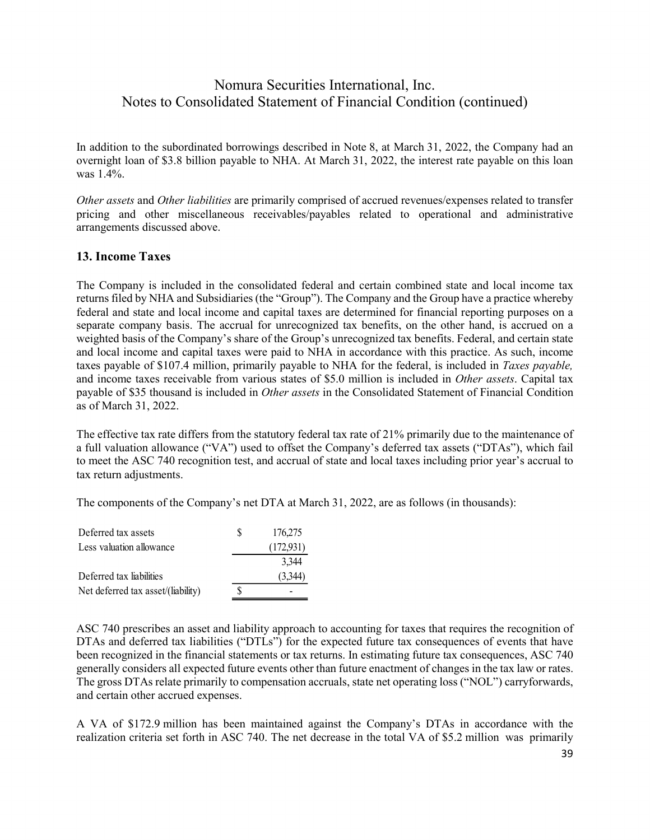In addition to the subordinated borrowings described in Note 8, at March 31, 2022, the Company had an overnight loan of \$3.8 billion payable to NHA. At March 31, 2022, the interest rate payable on this loan was 1.4%.

*Other assets* and *Other liabilities* are primarily comprised of accrued revenues/expenses related to transfer pricing and other miscellaneous receivables/payables related to operational and administrative arrangements discussed above.

### **13. Income Taxes**

The Company is included in the consolidated federal and certain combined state and local income tax returns filed by NHA and Subsidiaries (the "Group"). The Company and the Group have a practice whereby federal and state and local income and capital taxes are determined for financial reporting purposes on a separate company basis. The accrual for unrecognized tax benefits, on the other hand, is accrued on a weighted basis of the Company's share of the Group's unrecognized tax benefits. Federal, and certain state and local income and capital taxes were paid to NHA in accordance with this practice. As such, income taxes payable of \$107.4 million, primarily payable to NHA for the federal, is included in *Taxes payable,*  and income taxes receivable from various states of \$5.0 million is included in *Other assets*. Capital tax payable of \$35 thousand is included in *Other assets* in the Consolidated Statement of Financial Condition as of March 31, 2022.

The effective tax rate differs from the statutory federal tax rate of 21% primarily due to the maintenance of a full valuation allowance ("VA") used to offset the Company's deferred tax assets ("DTAs"), which fail to meet the ASC 740 recognition test, and accrual of state and local taxes including prior year's accrual to tax return adjustments.

The components of the Company's net DTA at March 31, 2022, are as follows (in thousands):

| Deferred tax assets                | S | 176,275   |
|------------------------------------|---|-----------|
| Less valuation allowance           |   | (172,931) |
|                                    |   | 3.344     |
| Deferred tax liabilities           |   | (3,344)   |
| Net deferred tax asset/(liability) | S |           |

ASC 740 prescribes an asset and liability approach to accounting for taxes that requires the recognition of DTAs and deferred tax liabilities ("DTLs") for the expected future tax consequences of events that have been recognized in the financial statements or tax returns. In estimating future tax consequences, ASC 740 generally considers all expected future events other than future enactment of changes in the tax law or rates. The gross DTAs relate primarily to compensation accruals, state net operating loss ("NOL") carryforwards, and certain other accrued expenses.

A VA of \$172.9 million has been maintained against the Company's DTAs in accordance with the realization criteria set forth in ASC 740. The net decrease in the total VA of \$5.2 million was primarily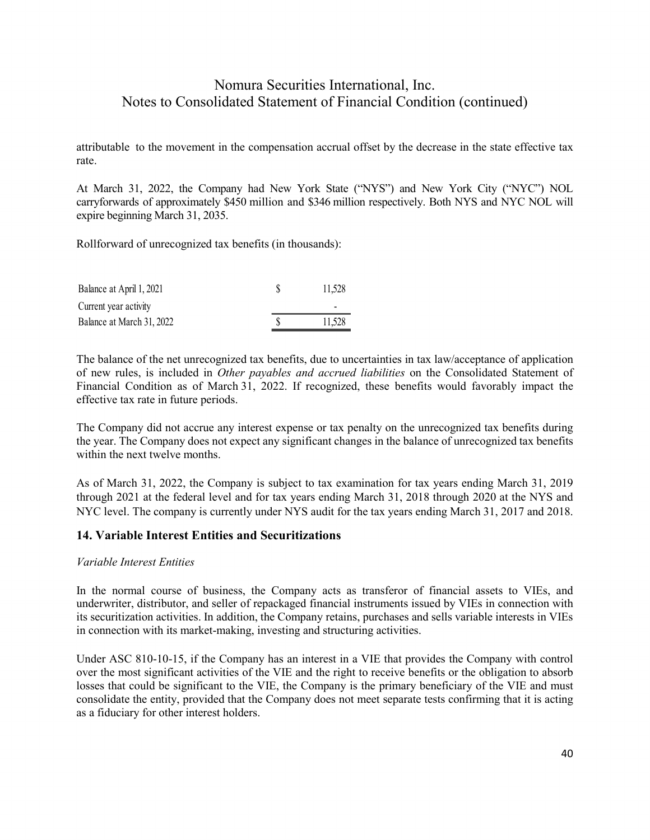attributable to the movement in the compensation accrual offset by the decrease in the state effective tax rate.

At March 31, 2022, the Company had New York State ("NYS") and New York City ("NYC") NOL carryforwards of approximately \$450 million and \$346 million respectively. Both NYS and NYC NOL will expire beginning March 31, 2035.

Rollforward of unrecognized tax benefits (in thousands):

| Balance at April 1, 2021  | 11.528 |
|---------------------------|--------|
| Current year activity     | -      |
| Balance at March 31, 2022 | 11.528 |

The balance of the net unrecognized tax benefits, due to uncertainties in tax law/acceptance of application of new rules, is included in *Other payables and accrued liabilities* on the Consolidated Statement of Financial Condition as of March 31, 2022. If recognized, these benefits would favorably impact the effective tax rate in future periods.

The Company did not accrue any interest expense or tax penalty on the unrecognized tax benefits during the year. The Company does not expect any significant changes in the balance of unrecognized tax benefits within the next twelve months.

As of March 31, 2022, the Company is subject to tax examination for tax years ending March 31, 2019 through 2021 at the federal level and for tax years ending March 31, 2018 through 2020 at the NYS and NYC level. The company is currently under NYS audit for the tax years ending March 31, 2017 and 2018.

### **14. Variable Interest Entities and Securitizations**

#### *Variable Interest Entities*

In the normal course of business, the Company acts as transferor of financial assets to VIEs, and underwriter, distributor, and seller of repackaged financial instruments issued by VIEs in connection with its securitization activities. In addition, the Company retains, purchases and sells variable interests in VIEs in connection with its market-making, investing and structuring activities.

Under ASC 810-10-15, if the Company has an interest in a VIE that provides the Company with control over the most significant activities of the VIE and the right to receive benefits or the obligation to absorb losses that could be significant to the VIE, the Company is the primary beneficiary of the VIE and must consolidate the entity, provided that the Company does not meet separate tests confirming that it is acting as a fiduciary for other interest holders.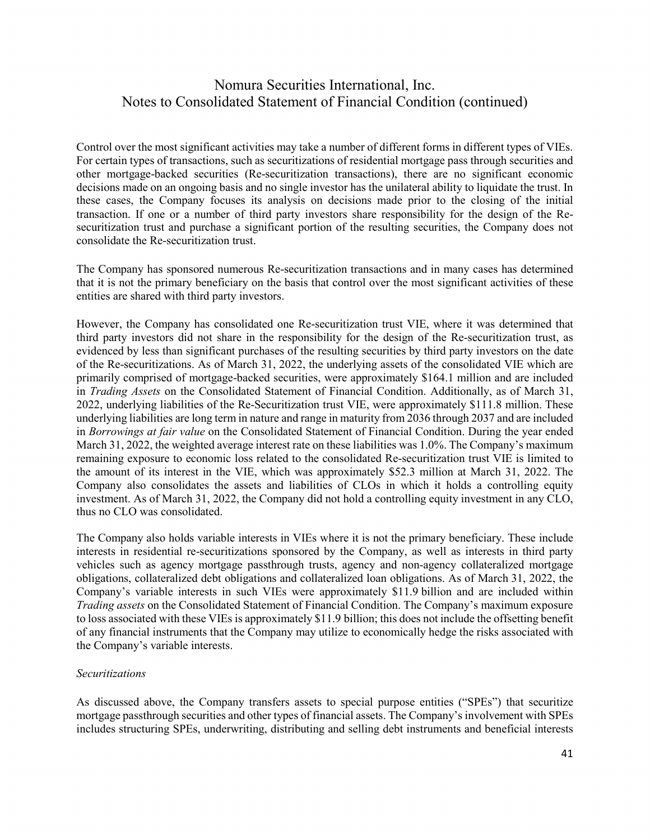Control over the most significant activities may take a number of different forms in different types of VIEs. For certain types of transactions, such as securitizations of residential mortgage pass through securities and other mortgage-backed securities (Re-securitization transactions), there are no significant economic decisions made on an ongoing basis and no single investor has the unilateral ability to liquidate the trust. In these cases, the Company focuses its analysis on decisions made prior to the closing of the initial transaction. If one or a number of third party investors share responsibility for the design of the Resecuritization trust and purchase a significant portion of the resulting securities, the Company does not consolidate the Re-securitization trust.

The Company has sponsored numerous Re-securitization transactions and in many cases has determined that it is not the primary beneficiary on the basis that control over the most significant activities of these entities are shared with third party investors.

However, the Company has consolidated one Re-securitization trust VIE, where it was determined that third party investors did not share in the responsibility for the design of the Re-securitization trust, as evidenced by less than significant purchases of the resulting securities by third party investors on the date of the Re-securitizations. As of March 31, 2022, the underlying assets of the consolidated VIE which are primarily comprised of mortgage-backed securities, were approximately \$164.1 million and are included in *Trading Assets* on the Consolidated Statement of Financial Condition. Additionally, as of March 31, 2022, underlying liabilities of the Re-Securitization trust VIE, were approximately \$111.8 million. These underlying liabilities are long term in nature and range in maturity from 2036 through 2037 and are included in *Borrowings at fair value* on the Consolidated Statement of Financial Condition. During the year ended March 31, 2022, the weighted average interest rate on these liabilities was 1.0%. The Company's maximum remaining exposure to economic loss related to the consolidated Re-securitization trust VIE is limited to the amount of its interest in the VIE, which was approximately \$52.3 million at March 31, 2022. The Company also consolidates the assets and liabilities of CLOs in which it holds a controlling equity investment. As of March 31, 2022, the Company did not hold a controlling equity investment in any CLO, thus no CLO was consolidated.

The Company also holds variable interests in VIEs where it is not the primary beneficiary. These include interests in residential re-securitizations sponsored by the Company, as well as interests in third party vehicles such as agency mortgage passthrough trusts, agency and non-agency collateralized mortgage obligations, collateralized debt obligations and collateralized loan obligations. As of March 31, 2022, the Company's variable interests in such VIEs were approximately \$11.9 billion and are included within *Trading assets* on the Consolidated Statement of Financial Condition. The Company's maximum exposure to loss associated with these VIEs is approximately \$11.9 billion; this does not include the offsetting benefit of any financial instruments that the Company may utilize to economically hedge the risks associated with the Company's variable interests.

#### *Securitizations*

As discussed above, the Company transfers assets to special purpose entities ("SPEs") that securitize mortgage passthrough securities and other types of financial assets. The Company's involvement with SPEs includes structuring SPEs, underwriting, distributing and selling debt instruments and beneficial interests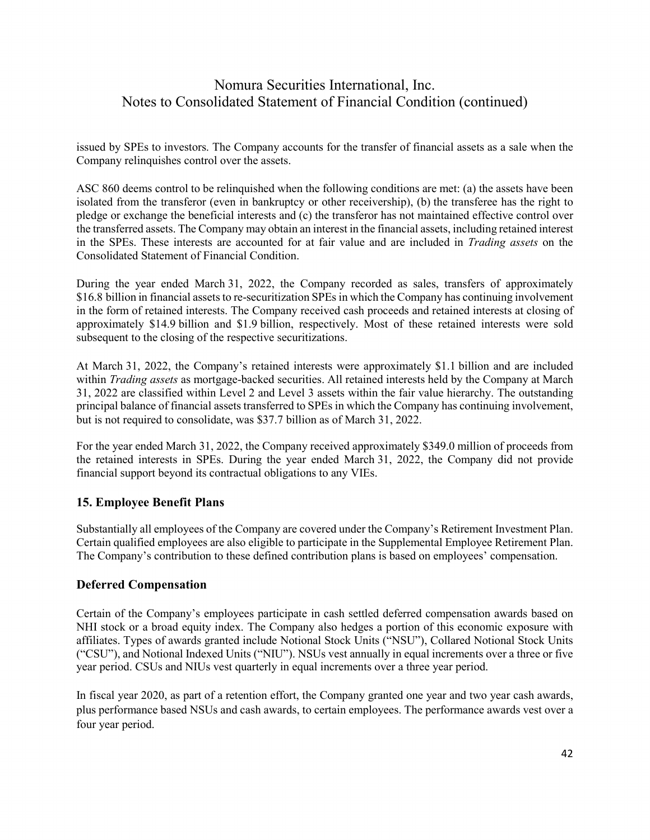issued by SPEs to investors. The Company accounts for the transfer of financial assets as a sale when the Company relinquishes control over the assets.

ASC 860 deems control to be relinquished when the following conditions are met: (a) the assets have been isolated from the transferor (even in bankruptcy or other receivership), (b) the transferee has the right to pledge or exchange the beneficial interests and (c) the transferor has not maintained effective control over the transferred assets. The Company may obtain an interest in the financial assets, including retained interest in the SPEs. These interests are accounted for at fair value and are included in *Trading assets* on the Consolidated Statement of Financial Condition.

During the year ended March 31, 2022, the Company recorded as sales, transfers of approximately \$16.8 billion in financial assets to re-securitization SPEs in which the Company has continuing involvement in the form of retained interests. The Company received cash proceeds and retained interests at closing of approximately \$14.9 billion and \$1.9 billion, respectively. Most of these retained interests were sold subsequent to the closing of the respective securitizations.

At March 31, 2022, the Company's retained interests were approximately \$1.1 billion and are included within *Trading assets* as mortgage-backed securities. All retained interests held by the Company at March 31, 2022 are classified within Level 2 and Level 3 assets within the fair value hierarchy. The outstanding principal balance of financial assets transferred to SPEs in which the Company has continuing involvement, but is not required to consolidate, was \$37.7 billion as of March 31, 2022.

For the year ended March 31, 2022, the Company received approximately \$349.0 million of proceeds from the retained interests in SPEs. During the year ended March 31, 2022, the Company did not provide financial support beyond its contractual obligations to any VIEs.

### **15. Employee Benefit Plans**

Substantially all employees of the Company are covered under the Company's Retirement Investment Plan. Certain qualified employees are also eligible to participate in the Supplemental Employee Retirement Plan. The Company's contribution to these defined contribution plans is based on employees' compensation.

### **Deferred Compensation**

Certain of the Company's employees participate in cash settled deferred compensation awards based on NHI stock or a broad equity index. The Company also hedges a portion of this economic exposure with affiliates. Types of awards granted include Notional Stock Units ("NSU"), Collared Notional Stock Units ("CSU"), and Notional Indexed Units ("NIU"). NSUs vest annually in equal increments over a three or five year period. CSUs and NIUs vest quarterly in equal increments over a three year period.

In fiscal year 2020, as part of a retention effort, the Company granted one year and two year cash awards, plus performance based NSUs and cash awards, to certain employees. The performance awards vest over a four year period.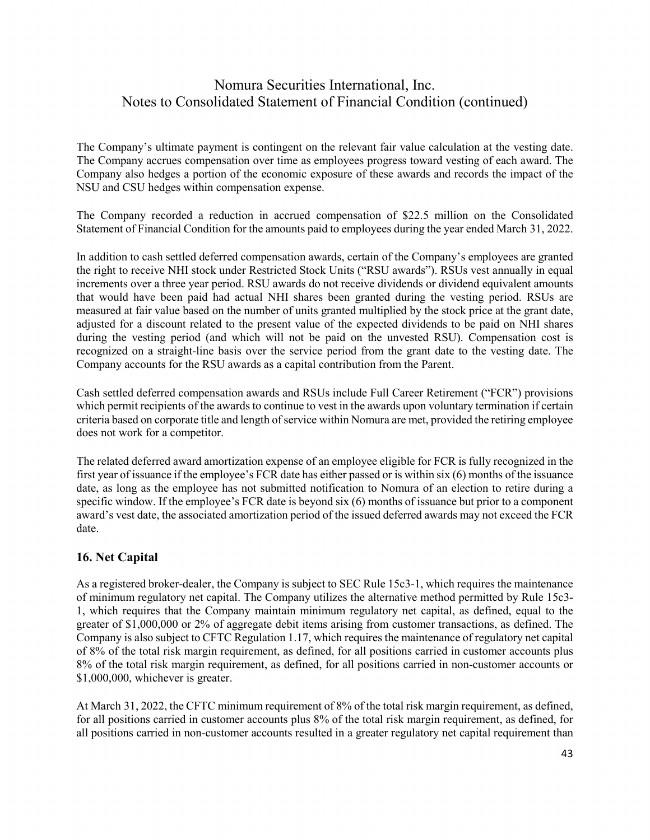The Company's ultimate payment is contingent on the relevant fair value calculation at the vesting date. The Company accrues compensation over time as employees progress toward vesting of each award. The Company also hedges a portion of the economic exposure of these awards and records the impact of the NSU and CSU hedges within compensation expense.

The Company recorded a reduction in accrued compensation of \$22.5 million on the Consolidated Statement of Financial Condition for the amounts paid to employees during the year ended March 31, 2022.

In addition to cash settled deferred compensation awards, certain of the Company's employees are granted the right to receive NHI stock under Restricted Stock Units ("RSU awards"). RSUs vest annually in equal increments over a three year period. RSU awards do not receive dividends or dividend equivalent amounts that would have been paid had actual NHI shares been granted during the vesting period. RSUs are measured at fair value based on the number of units granted multiplied by the stock price at the grant date, adjusted for a discount related to the present value of the expected dividends to be paid on NHI shares during the vesting period (and which will not be paid on the unvested RSU). Compensation cost is recognized on a straight-line basis over the service period from the grant date to the vesting date. The Company accounts for the RSU awards as a capital contribution from the Parent.

Cash settled deferred compensation awards and RSUs include Full Career Retirement ("FCR") provisions which permit recipients of the awards to continue to vest in the awards upon voluntary termination if certain criteria based on corporate title and length of service within Nomura are met, provided the retiring employee does not work for a competitor.

The related deferred award amortization expense of an employee eligible for FCR is fully recognized in the first year of issuance if the employee's FCR date has either passed or is within six (6) months of the issuance date, as long as the employee has not submitted notification to Nomura of an election to retire during a specific window. If the employee's FCR date is beyond six (6) months of issuance but prior to a component award's vest date, the associated amortization period of the issued deferred awards may not exceed the FCR date.

### **16. Net Capital**

As a registered broker-dealer, the Company is subject to SEC Rule 15c3-1, which requires the maintenance of minimum regulatory net capital. The Company utilizes the alternative method permitted by Rule 15c3- 1, which requires that the Company maintain minimum regulatory net capital, as defined, equal to the greater of \$1,000,000 or 2% of aggregate debit items arising from customer transactions, as defined. The Company is also subject to CFTC Regulation 1.17, which requires the maintenance of regulatory net capital of 8% of the total risk margin requirement, as defined, for all positions carried in customer accounts plus 8% of the total risk margin requirement, as defined, for all positions carried in non-customer accounts or \$1,000,000, whichever is greater.

At March 31, 2022, the CFTC minimum requirement of 8% of the total risk margin requirement, as defined, for all positions carried in customer accounts plus 8% of the total risk margin requirement, as defined, for all positions carried in non-customer accounts resulted in a greater regulatory net capital requirement than